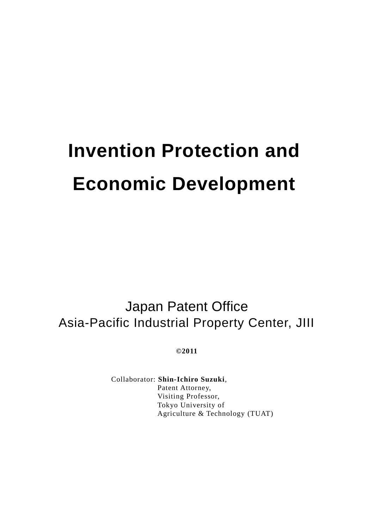# **Invention Protection and Economic Development**

Japan Patent Office Asia-Pacific Industrial Property Center, JIII

**©2011**

Collaborator: **Shin-Ichiro Suzuki**, Patent Attorney, Visiting Professor, Tokyo University of Agriculture & Technology (TUAT)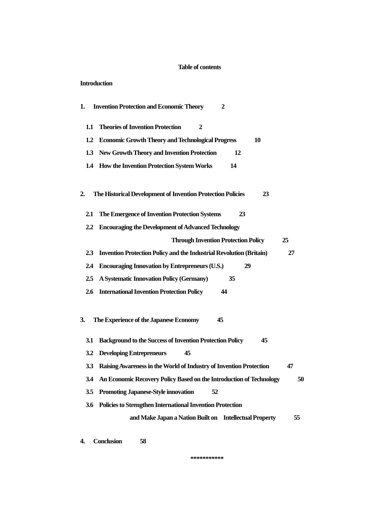## **Table of contents**

## **Introduction**

| 1.               |               | <b>Invention Protection and Economic Theory</b><br>2                             |
|------------------|---------------|----------------------------------------------------------------------------------|
| 1.1              |               | <b>Theories of Invention Protection</b><br>2                                     |
| 1.2              |               | <b>Economic Growth Theory and Technological Progress</b><br>10                   |
| 1.3              |               | <b>New Growth Theory and Invention Protection</b><br>12                          |
| 1.4              |               | <b>How the Invention Protection System Works</b><br>14                           |
| 2.               |               | The Historical Development of Invention Protection Policies<br>23                |
| 2.1              |               | The Emergence of Invention Protection Systems<br>23                              |
| $2.2\phantom{0}$ |               | <b>Encouraging the Development of Advanced Technology</b>                        |
|                  |               | <b>Through Invention Protection Policy</b><br>25                                 |
|                  | $2.3^{\circ}$ | <b>Invention Protection Policy and the Industrial Revolution (Britain)</b><br>27 |
| 2.4              |               | <b>Encouraging Innovation by Entrepreneurs (U.S.)</b><br>29                      |
| 2.5              |               | A Systematic Innovation Policy (Germany)<br>35                                   |
| 2.6              |               | <b>International Invention Protection Policy</b><br>44                           |
| 3.               |               | 45<br>The Experience of the Japanese Economy                                     |
| 3.1              |               | <b>Background to the Success of Invention Protection Policy</b><br>45            |
| 3.2              |               | <b>Developing Entrepreneurs</b><br>45                                            |
| <b>3.3</b>       |               | Raising Awareness in the World of Industry of Invention Protection<br>47         |
|                  | 3.4           | An Economic Recovery Policy Based on the Introduction of Technology<br>50        |
| 3.5              |               | <b>Promoting Japanese-Style innovation</b><br>52                                 |
| 3.6              |               | <b>Policies to Strengthen International Invention Protection</b>                 |
|                  |               | and Make Japan a Nation Built on Intellectual Property<br>55                     |
| 4.               |               | <b>Conclusion</b><br>58                                                          |

**\*\*\*\*\*\*\*\*\*\*\***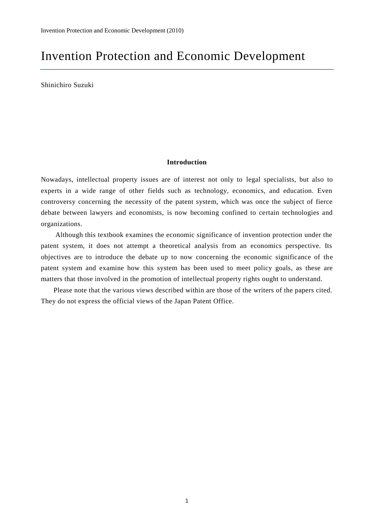## Invention Protection and Economic Development

Shinichiro Suzuki

## **Introduction**

Nowadays, intellectual property issues are of interest not only to legal specialists, but also to experts in a wide range of other fields such as technology, economics, and education. Even controversy concerning the necessity of the patent system, which was once the subject of fierce debate between lawyers and economists, is now becoming confined to certain technologies and organizations.

Although this textbook examines the economic significance of invention protection under the patent system, it does not attempt a theoretical analysis from an economics perspective. Its objectives are to introduce the debate up to now concerning the economic significance of the patent system and examine how this system has been used to meet policy goals, as these are matters that those involved in the promotion of intellectual property rights ought to understand.

Please note that the various views described within are those of the writers of the papers cited. They do not express the official views of the Japan Patent Office.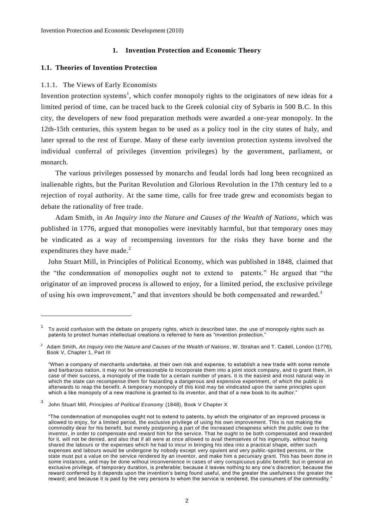## **1. Invention Protection and Economic Theory**

## **1.1. Theories of Invention Protection**

## 1.1.1. The Views of Early Economists

Invention protection systems<sup>1</sup>, which confer monopoly rights to the originators of new ideas for a limited period of time, can be traced back to the Greek colonial city of Sybaris in 500 B.C. In this city, the developers of new food preparation methods were awarded a one-year monopoly. In the 12th-15th centuries, this system began to be used as a policy tool in the city states of Italy, and later spread to the rest of Europe. Many of these early invention protection systems involved the individual conferral of privileges (invention privileges) by the government, parliament, or monarch.

The various privileges possessed by monarchs and feudal lords had long been recognized as inalienable rights, but the Puritan Revolution and Glorious Revolution in the 17th century led to a rejection of royal authority. At the same time, calls for free trade grew and economists began to debate the rationality of free trade.

Adam Smith, in *An Inquiry into the Nature and Causes of the Wealth of Nations*, which was published in 1776, argued that monopolies were inevitably harmful, but that temporary ones may be vindicated as a way of recompensing inventors for the risks they have borne and the expenditures they have made.<sup>2</sup>

John Stuart Mill, in Principles of Political Economy, which was published in 1848, claimed that the "the condemnation of monopolies ought not to extend to patents." He argued that "the originator of an improved process is allowed to enjoy, for a limited period, the exclusive privilege of using his own improvement," and that inventors should be both compensated and rewarded. $3$ 

<sup>1</sup> To avoid confusion with the debate on property rights, which is described later, the use of monopoly rights such as patents to protect human intellectual creations is referred to here as "invention protection."

<sup>2</sup> Adam Smith, *An Inquiry into the Nature and Causes of the Wealth of Nations*, W. Strahan and T. Cadell, London (1776), Book V, Chapter 1, Part III

<sup>&</sup>quot;When a company of merchants undertake, at their own risk and expense, to establish a new trade with some remote and barbarous nation, it may not be unreasonable to incorporate them into a joint stock company, and to grant them, in case of their success, a monopoly of the trade for a certain number of years. It is the easiest and most natural way in which the state can recompense them for hazarding a dangerous and expensive experiment, of which the public is afterwards to reap the benefit. A temporary monopoly of this kind may be vindicated upon the same principles upon which a like monopoly of a new machine is granted to its inventor, and that of a new book to its author.'

<sup>3</sup> John Stuart Mill, *Principles of Political Economy* (1848), Book V Chapter X

<sup>&</sup>quot;The condemnation of monopolies ought not to extend to patents, by which the originator of an improved process is allowed to enjoy, for a limited period, the exclusive privilege of using his own improvement. This is not making the commodity dear for his benefit, but merely postponing a part of the increased cheapness which the public owe to the inventor, in order to compensate and reward him for the service. That he ought to be both compensated and rewarded for it, will not be denied, and also that if all were at once allowed to avail themselves of his ingenuity, without having shared the labours or the expenses which he had to incur in bringing his idea into a practical shape, either such expenses and labours would be undergone by nobody except very opulent and very public-spirited persons, or the state must put a value on the service rendered by an inventor, and make him a pecuniary grant. This has been done in some instances, and may be done without inconvenience in cases of very conspicuous public benefit; but in general an exclusive privilege, of temporary duration, is preferable; because it leaves nothing to any one's discretion; because the reward conferred by it depends upon the invention's being found useful, and the greater the usefulnes s the greater the reward; and because it is paid by the very persons to whom the service is rendered, the consumers of the commodity."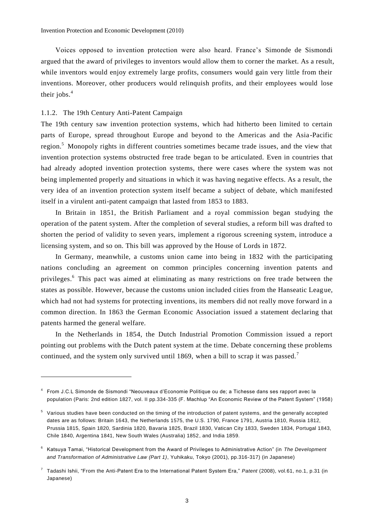Voices opposed to invention protection were also heard. France's Simonde de Sismondi argued that the award of privileges to inventors would allow them to corner the market. As a result, while inventors would enjoy extremely large profits, consumers would gain very little from their inventions. Moreover, other producers would relinquish profits, and their employees would lose their jobs.<sup>4</sup>

## 1.1.2. The 19th Century Anti-Patent Campaign

The 19th century saw invention protection systems, which had hitherto been limited to certain parts of Europe, spread throughout Europe and beyond to the Americas and the Asia -Pacific region.<sup>5</sup> Monopoly rights in different countries sometimes became trade issues, and the view that invention protection systems obstructed free trade began to be articulated. Even in countries that had already adopted invention protection systems, there were cases where the system was not being implemented properly and situations in which it was having negative effects. As a result, the very idea of an invention protection system itself became a subject of debate, which manifested itself in a virulent anti-patent campaign that lasted from 1853 to 1883.

In Britain in 1851, the British Parliament and a royal commission began studying the operation of the patent system. After the completion of several studies, a reform bill was drafted to shorten the period of validity to seven years, implement a rigorous screening system, introduce a licensing system, and so on. This bill was approved by the House of Lords in 1872.

In Germany, meanwhile, a customs union came into being in 1832 with the participating nations concluding an agreement on common principles concerning invention patents and privileges. <sup>6</sup> This pact was aimed at eliminating as many restrictions on free trade between the states as possible. However, because the customs union included cities from the Hanseatic League, which had not had systems for protecting inventions, its members did not really move forward in a common direction. In 1863 the German Economic Association issued a statement declaring that patents harmed the general welfare.

In the Netherlands in 1854, the Dutch Industrial Promotion Commission issued a report pointing out problems with the Dutch patent system at the time. Debate concerning these problems continued, and the system only survived until 1869, when a bill to scrap it was passed.<sup>7</sup>

<sup>4</sup> From J.C.L Simonde de Sismondi "Neouveaux d'Economie Politique ou de; a Tichesse dans ses rapport avec la population (Paris: 2nd edition 1827, vol. II pp.334-335 (F. Machlup "An Economic Review of the Patent System" (1958)

<sup>5</sup> Various studies have been conducted on the timing of the introduction of patent systems, and the generally accepted dates are as follows: Britain 1643, the Netherlands 1575, the U.S. 1790, France 1791, Austria 1810, Russia 1812, Prussia 1815, Spain 1820, Sardinia 1820, Bavaria 1825, Brazil 1830, Vatican City 1833, Sweden 1834, Portugal 1843, Chile 1840, Argentina 1841, New South Wales (Australia) 1852, and India 1859.

<sup>6</sup> Katsuya Tamai, "Historical Development from the Award of Privileges to Administrative Action" (in *The Development and Transformation of Administrative Law (Part 1)*, Yuhikaku, Tokyo (2001), pp.316-317) (in Japanese)

<sup>7</sup> Tadashi Ishii, "From the Anti-Patent Era to the International Patent System Era," *Patent* (2008), vol.61, no.1, p.31 (in Japanese)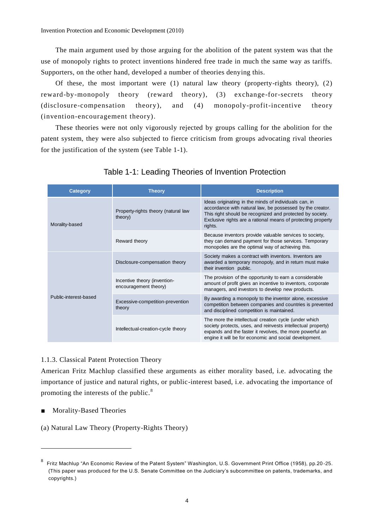Invention Protection and Economic Development (2010)

The main argument used by those arguing for the abolition of the patent system was that the use of monopoly rights to protect inventions hindered free trade in much the same way as tariffs. Supporters, on the other hand, developed a number of theories denying this.

Of these, the most important were (1) natural law theory (property-rights theory), (2) reward-by-monopoly theory (reward theory), (3) exchange-for-secrets theory (disclosure-compensation theory), and (4) monopoly-profit-incentive theory (invention-encouragement theory).

These theories were not only vigorously rejected by groups calling for the abolition for the patent system, they were also subjected to fierce criticism from groups advocating rival theories for the justification of the system (see Table 1-1).

| Category              | <b>Theory</b>                                         | <b>Description</b>                                                                                                                                                                                                                                         |
|-----------------------|-------------------------------------------------------|------------------------------------------------------------------------------------------------------------------------------------------------------------------------------------------------------------------------------------------------------------|
| Morality-based        | Property-rights theory (natural law<br>theory)        | Ideas originating in the minds of individuals can, in<br>accordance with natural law, be possessed by the creator.<br>This right should be recognized and protected by society.<br>Exclusive rights are a rational means of protecting property<br>rights. |
|                       | Reward theory                                         | Because inventors provide valuable services to society,<br>they can demand payment for those services. Temporary<br>monopolies are the optimal way of achieving this.                                                                                      |
|                       | Disclosure-compensation theory                        | Society makes a contract with inventors. Inventors are<br>awarded a temporary monopoly, and in return must make<br>their invention public.                                                                                                                 |
|                       | Incentive theory (invention-<br>encouragement theory) | The provision of the opportunity to earn a considerable<br>amount of profit gives an incentive to inventors, corporate<br>managers, and investors to develop new products.                                                                                 |
| Public-interest-based | Excessive-competition-prevention<br>theory            | By awarding a monopoly to the inventor alone, excessive<br>competition between companies and countries is prevented<br>and disciplined competition is maintained.                                                                                          |
|                       | Intellectual-creation-cycle theory                    | The more the intellectual creation cycle (under which<br>society protects, uses, and reinvests intellectual property)<br>expands and the faster it revolves, the more powerful an<br>engine it will be for economic and social development.                |

## Table 1-1: Leading Theories of Invention Protection

## 1.1.3. Classical Patent Protection Theory

American Fritz Machlup classified these arguments as either morality based, i.e. advocating the importance of justice and natural rights, or public-interest based, i.e. advocating the importance of promoting the interests of the public.<sup>8</sup>

■ Morality-Based Theories

(a) Natural Law Theory (Property-Rights Theory)

<sup>8</sup> Fritz Machlup "An Economic Review of the Patent System" Washington, U.S. Government Print Office (1958), pp.20 -25. (This paper was produced for the U.S. Senate Committee on the Judiciary's subcommittee on patents, trademarks, and copyrights.)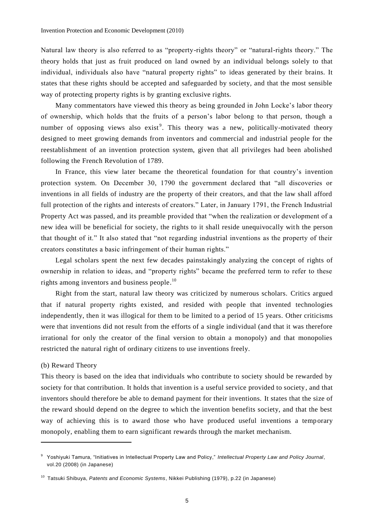Natural law theory is also referred to as "property-rights theory" or "natural-rights theory." The theory holds that just as fruit produced on land owned by an individual belongs solely to that individual, individuals also have "natural property rights" to ideas generated by their brains. It states that these rights should be accepted and safeguarded by society, and that the most sensible way of protecting property rights is by granting exclusive rights.

Many commentators have viewed this theory as being grounded in John Locke's labor theory of ownership, which holds that the fruits of a person's labor belong to that person, though a number of opposing views also exist<sup>9</sup>. This theory was a new, politically-motivated theory designed to meet growing demands from inventors and commercial and industrial people for the reestablishment of an invention protection system, given that all privileges had been abolished following the French Revolution of 1789.

In France, this view later became the theoretical foundation for that country's invention protection system. On December 30, 1790 the government declared that "all discoveries or inventions in all fields of industry are the property of their creators, and that the law shall afford full protection of the rights and interests of creators." Later, in January 1791, the French Industrial Property Act was passed, and its preamble provided that "when the realization or development of a new idea will be beneficial for society, the rights to it shall reside unequivocally wit h the person that thought of it." It also stated that "not regarding industrial inventions as the property of their creators constitutes a basic infringement of their human rights."

Legal scholars spent the next few decades painstakingly analyzing the concept of rights of ownership in relation to ideas, and "property rights" became the preferred term to refer to these rights among inventors and business people. $10$ 

Right from the start, natural law theory was criticized by numerous scholars. Critics argued that if natural property rights existed, and resided with people that invented technologies independently, then it was illogical for them to be limited to a period of 15 years. Other criticisms were that inventions did not result from the efforts of a single individual (and that it was therefore irrational for only the creator of the final version to obtain a monopoly) and that monopolies restricted the natural right of ordinary citizens to use inventions freely.

#### (b) Reward Theory

 $\overline{a}$ 

This theory is based on the idea that individuals who contribute to society should be rewarded by society for that contribution. It holds that invention is a useful service provided to society, and that inventors should therefore be able to demand payment for their inventions. It states that the size of the reward should depend on the degree to which the invention benefits society, and that the best way of achieving this is to award those who have produced useful inventions a temporary monopoly, enabling them to earn significant rewards through the market mechanism.

<sup>9</sup> Yoshiyuki Tamura, "Initiatives in Intellectual Property Law and Policy," *Intellectual Property Law and Policy Journal*, vol.20 (2008) (in Japanese)

<sup>10</sup> Tatsuki Shibuya, *Patents and Economic Systems*, Nikkei Publishing (1979), p.22 (in Japanese)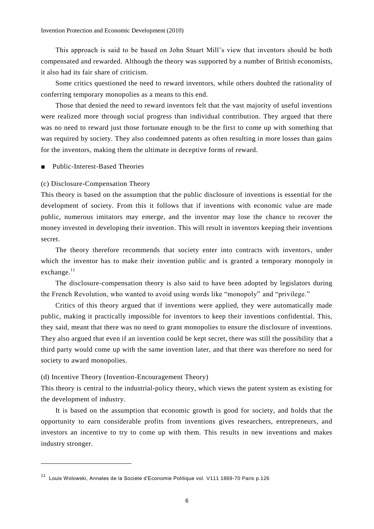This approach is said to be based on John Stuart Mill's view that inventors should be both compensated and rewarded. Although the theory was supported by a number of British economists, it also had its fair share of criticism.

Some critics questioned the need to reward inventors, while others doubted the rationality of conferring temporary monopolies as a means to this end.

Those that denied the need to reward inventors felt that the vast majority of useful inventions were realized more through social progress than individual contribution. They argued that there was no need to reward just those fortunate enough to be the first to come up with something that was required by society. They also condemned patents as often resulting in more losses than gains for the inventors, making them the ultimate in deceptive forms of reward.

■ Public-Interest-Based Theories

## (c) Disclosure-Compensation Theory

This theory is based on the assumption that the public disclosure of inventions is essential for the development of society. From this it follows that if inventions with economic value are made public, numerous imitators may emerge, and the inventor may lose the chance to recover the money invested in developing their invention. This will result in inventors keeping their inventions secret.

The theory therefore recommends that society enter into contracts with inventors, under which the inventor has to make their invention public and is granted a temporary monopoly in exchange.<sup>11</sup>

The disclosure-compensation theory is also said to have been adopted by legislators during the French Revolution, who wanted to avoid using words like "monopoly" and "privilege."

Critics of this theory argued that if inventions were applied, they were automatically made public, making it practically impossible for inventors to keep their inventions confidential. This, they said, meant that there was no need to grant monopolies to ensure the disclosure of inventions. They also argued that even if an invention could be kept secret, there was still the possibility that a third party would come up with the same invention later, and that there was therefore no need for society to award monopolies.

## (d) Incentive Theory (Invention-Encouragement Theory)

 $\overline{a}$ 

This theory is central to the industrial-policy theory, which views the patent system as existing for the development of industry.

It is based on the assumption that economic growth is good for society, and holds that the opportunity to earn considerable profits from inventions gives researchers, entrepreneurs, and investors an incentive to try to come up with them. This results in new inventions and makes industry stronger.

<sup>11</sup> Louis Wolowski, Annales de la Societe d'Economie Politique vol. V111 1869-70 Paris p.126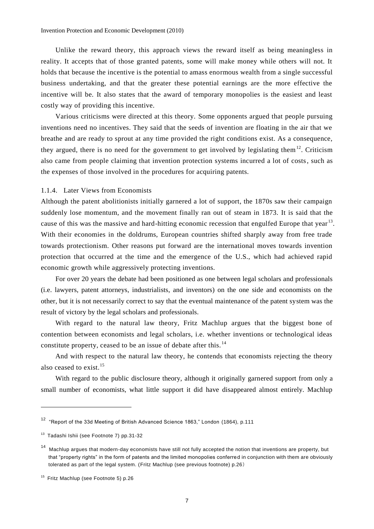Unlike the reward theory, this approach views the reward itself as being meaningless in reality. It accepts that of those granted patents, some will make money while others will not. It holds that because the incentive is the potential to amass enormous wealth from a single successful business undertaking, and that the greater these potential earnings are the more effective the incentive will be. It also states that the award of temporary monopolies is the easiest and least costly way of providing this incentive.

Various criticisms were directed at this theory. Some opponents argued that people pursuing inventions need no incentives. They said that the seeds of invention are floating in the air that we breathe and are ready to sprout at any time provided the right conditions exist. As a consequence, they argued, there is no need for the government to get involved by legislating them<sup>12</sup>. Criticism also came from people claiming that invention protection systems incurred a lot of costs, such as the expenses of those involved in the procedures for acquiring patents.

## 1.1.4. Later Views from Economists

Although the patent abolitionists initially garnered a lot of support, the 1870s saw their campaign suddenly lose momentum, and the movement finally ran out of steam in 1873. It is said that the cause of this was the massive and hard-hitting economic recession that engulfed Europe that year<sup>13</sup>. With their economies in the doldrums, European countries shifted sharply away from free trade towards protectionism. Other reasons put forward are the international moves towards invention protection that occurred at the time and the emergence of the U.S., which had achieved rapid economic growth while aggressively protecting inventions.

For over 20 years the debate had been positioned as one between legal scholars and professionals (i.e. lawyers, patent attorneys, industrialists, and inventors) on the one side and economists on the other, but it is not necessarily correct to say that the eventual maintenance of the patent system was the result of victory by the legal scholars and professionals.

With regard to the natural law theory, Fritz Machlup argues that the biggest bone of contention between economists and legal scholars, i.e. whether inventions or technological ideas constitute property, ceased to be an issue of debate after this.<sup>14</sup>

And with respect to the natural law theory, he contends that economists rejecting the theory also ceased to exist.<sup>15</sup>

With regard to the public disclosure theory, although it originally garnered support from only a small number of economists, what little support it did have disappeared almost entirely. Machlup

<sup>12</sup> "Report of the 33d Meeting of British Advanced Science 1863," London (1864), p.111

<sup>&</sup>lt;sup>13</sup> Tadashi Ishii (see Footnote 7) pp.31-32

<sup>&</sup>lt;sup>14</sup> Machlup argues that modern-day economists have still not fully accepted the notion that inventions are property, but that "property rights" in the form of patents and the limited monopolies conferred in conjunction with them are obviously tolerated as part of the legal system. (Fritz Machlup (see previous footnote) p.26)

<sup>&</sup>lt;sup>15</sup> Fritz Machlup (see Footnote 5) p.26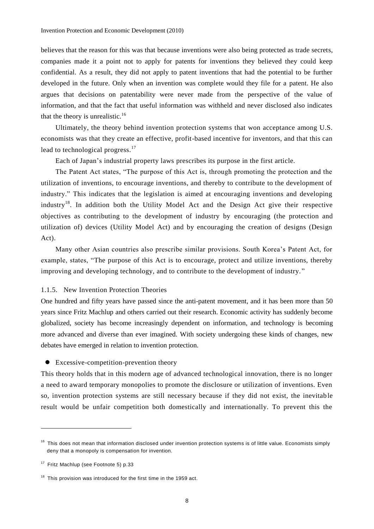believes that the reason for this was that because inventions were also being protected as trade secrets, companies made it a point not to apply for patents for inventions they believed they could keep confidential. As a result, they did not apply to patent inventions that had the potential to be further developed in the future. Only when an invention was complete would they file for a patent. He also argues that decisions on patentability were never made from the perspective of the value of information, and that the fact that useful information was withheld and never disclosed also indicates that the theory is unrealistic.<sup>16</sup>

Ultimately, the theory behind invention protection systems that won acceptance among U.S. economists was that they create an effective, profit-based incentive for inventors, and that this can lead to technological progress.<sup>17</sup>

Each of Japan's industrial property laws prescribes its purpose in the first article.

The Patent Act states, "The purpose of this Act is, through promoting the protection and the utilization of inventions, to encourage inventions, and thereby to contribute to the development of industry." This indicates that the legislation is aimed at encouraging inventions and developing industry<sup>18</sup>. In addition both the Utility Model Act and the Design Act give their respective objectives as contributing to the development of industry by encouraging (the protection and utilization of) devices (Utility Model Act) and by encouraging the creation of designs (Design Act).

Many other Asian countries also prescribe similar provisions. South Korea's Patent Act, for example, states, "The purpose of this Act is to encourage, protect and utilize inventions, thereby improving and developing technology, and to contribute to the development of industry. "

## 1.1.5. New Invention Protection Theories

One hundred and fifty years have passed since the anti-patent movement, and it has been more than 50 years since Fritz Machlup and others carried out their research. Economic activity has suddenly become globalized, society has become increasingly dependent on information, and technology is becoming more advanced and diverse than ever imagined. With society undergoing these kinds of changes, new debates have emerged in relation to invention protection.

Excessive-competition-prevention theory

This theory holds that in this modern age of advanced technological innovation, there is no longer a need to award temporary monopolies to promote the disclosure or utilization of inventions. Even so, invention protection systems are still necessary because if they did not exist, the inevitab le result would be unfair competition both domestically and internationally. To prevent this the

<sup>&</sup>lt;sup>16</sup> This does not mean that information disclosed under invention protection systems is of little value. Economists simply deny that a monopoly is compensation for invention.

<sup>&</sup>lt;sup>17</sup> Fritz Machlup (see Footnote 5) p.33

 $18$  This provision was introduced for the first time in the 1959 act.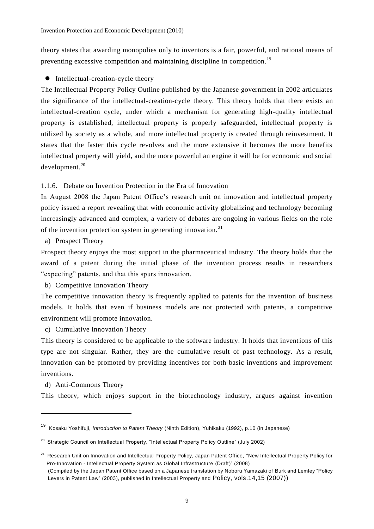theory states that awarding monopolies only to inventors is a fair, powerful, and rational means of preventing excessive competition and maintaining discipline in competition.<sup>19</sup>

## $\bullet$  Intellectual-creation-cycle theory

The Intellectual Property Policy Outline published by the Japanese government in 2002 articulates the significance of the intellectual-creation-cycle theory. This theory holds that there exists an intellectual-creation cycle, under which a mechanism for generating high-quality intellectual property is established, intellectual property is properly safeguarded, intellectual property is utilized by society as a whole, and more intellectual property is created through reinvestment. It states that the faster this cycle revolves and the more extensive it becomes the more benefits intellectual property will yield, and the more powerful an engine it will be for economic and social development. 20

1.1.6. Debate on Invention Protection in the Era of Innovation

In August 2008 the Japan Patent Office's research unit on innovation and intellectual property policy issued a report revealing that with economic activity globalizing and technology becoming increasingly advanced and complex, a variety of debates are ongoing in various fields on the role of the invention protection system in generating innovation.<sup>21</sup>

a) Prospect Theory

Prospect theory enjoys the most support in the pharmaceutical industry. The theory holds that the award of a patent during the initial phase of the invention process results in researchers "expecting" patents, and that this spurs innovation.

b) Competitive Innovation Theory

The competitive innovation theory is frequently applied to patents for the invention of business models. It holds that even if business models are not protected with patents, a competitive environment will promote innovation.

c) Cumulative Innovation Theory

This theory is considered to be applicable to the software industry. It holds that inventions of this type are not singular. Rather, they are the cumulative result of past technology. As a result, innovation can be promoted by providing incentives for both basic inventions and improvement inventions.

d) Anti-Commons Theory

 $\overline{a}$ 

This theory, which enjoys support in the biotechnology industry, argues against invention

<sup>19</sup> Kosaku Yoshifuji, *Introduction to Patent Theory* (Ninth Edition), Yuhikaku (1992), p.10 (in Japanese)

 $20$  Strategic Council on Intellectual Property, "Intellectual Property Policy Outline" (July 2002)

<sup>&</sup>lt;sup>21</sup> Research Unit on Innovation and Intellectual Property Policy, Japan Patent Office, "New Intellectual Property Policy for Pro-Innovation - Intellectual Property System as Global Infrastructure (Draft)" (2008) (Compiled by the Japan Patent Office based on a Japanese translation by Noboru Yamazaki of Burk and Lemley "Policy Levers in Patent Law" (2003), published in Intellectual Property and Policy, vols.14,15 (2007))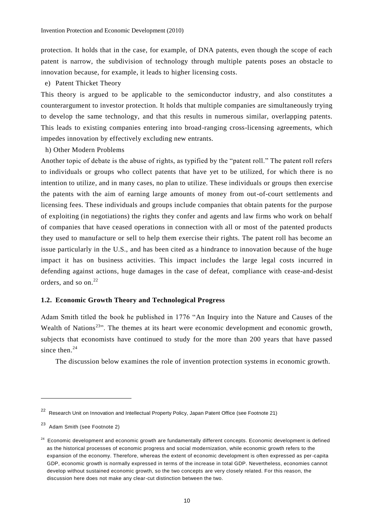protection. It holds that in the case, for example, of DNA patents, even though the scope of each patent is narrow, the subdivision of technology through multiple patents poses an obstacle to innovation because, for example, it leads to higher licensing costs.

e) Patent Thicket Theory

This theory is argued to be applicable to the semiconductor industry, and also constitutes a counterargument to investor protection. It holds that multiple companies are simultaneously trying to develop the same technology, and that this results in numerous similar, overlapping patents. This leads to existing companies entering into broad-ranging cross-licensing agreements, which impedes innovation by effectively excluding new entrants.

h) Other Modern Problems

Another topic of debate is the abuse of rights, as typified by the "patent roll." The patent roll refers to individuals or groups who collect patents that have yet to be utilized, for which there is no intention to utilize, and in many cases, no plan to utilize. These individuals or groups then exercise the patents with the aim of earning large amounts of money from out-of-court settlements and licensing fees. These individuals and groups include companies that obtain patents for the purpose of exploiting (in negotiations) the rights they confer and agents and law firms who work on behalf of companies that have ceased operations in connection with all or most of the patented products they used to manufacture or sell to help them exercise their rights. The patent roll has become an issue particularly in the U.S., and has been cited as a hindrance to innovation because of the huge impact it has on business activities. This impact includes the large legal costs incurred in defending against actions, huge damages in the case of defeat, compliance with cease-and-desist orders, and so on. $^{22}$ 

## **1.2. Economic Growth Theory and Technological Progress**

Adam Smith titled the book he published in 1776 "An Inquiry into the Nature and Causes of the Wealth of Nations<sup>23</sup><sup>33</sup>. The themes at its heart were economic development and economic growth, subjects that economists have continued to study for the more than 200 years that have passed since then. $24$ 

The discussion below examines the role of invention protection systems in economic growth.

<sup>22</sup> Research Unit on Innovation and Intellectual Property Policy, Japan Patent Office (see Footnote 21)

<sup>23</sup> Adam Smith (see Footnote 2)

<sup>&</sup>lt;sup>24</sup> Economic development and economic growth are fundamentally different concepts. Economic development is defined as the historical processes of economic progress and social modernization, while economic growth refers to the expansion of the economy. Therefore, whereas the extent of economic development is often expressed as per-capita GDP, economic growth is normally expressed in terms of the increase in total GDP. Nevertheless, economies cannot develop without sustained economic growth, so the two concepts are very closely related. For this reason, the discussion here does not make any clear-cut distinction between the two.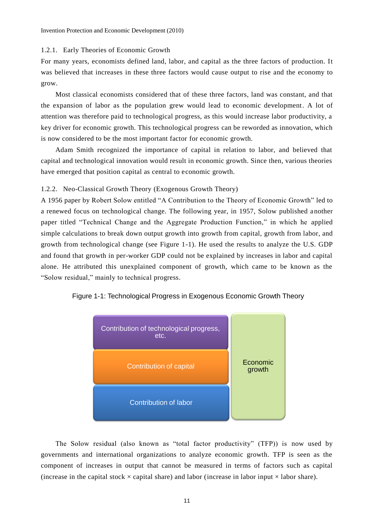#### 1.2.1. Early Theories of Economic Growth

For many years, economists defined land, labor, and capital as the three factors of production. It was believed that increases in these three factors would cause output to rise and the economy to grow.

Most classical economists considered that of these three factors, land was constant, and that the expansion of labor as the population grew would lead to economic development. A lot of attention was therefore paid to technological progress, as this would increase labor productivity, a key driver for economic growth. This technological progress can be reworded as innovation, which is now considered to be the most important factor for economic growth.

Adam Smith recognized the importance of capital in relation to labor, and believed that capital and technological innovation would result in economic growth. Since then, various theories have emerged that position capital as central to economic growth.

## 1.2.2. Neo-Classical Growth Theory (Exogenous Growth Theory)

A 1956 paper by Robert Solow entitled "A Contribution to the Theory of Economic Growth" led to a renewed focus on technological change. The following year, in 1957, Solow published another paper titled "Technical Change and the Aggregate Production Function," in which he applied simple calculations to break down output growth into growth from capital, growth from labor, and growth from technological change (see Figure 1-1). He used the results to analyze the U.S. GDP and found that growth in per-worker GDP could not be explained by increases in labor and capital alone. He attributed this unexplained component of growth, which came to be known as the "Solow residual," mainly to technical progress.





The Solow residual (also known as "total factor productivity" (TFP)) is now used by governments and international organizations to analyze economic growth. TFP is seen as the component of increases in output that cannot be measured in terms of factors such as capital (increase in the capital stock  $\times$  capital share) and labor (increase in labor input  $\times$  labor share).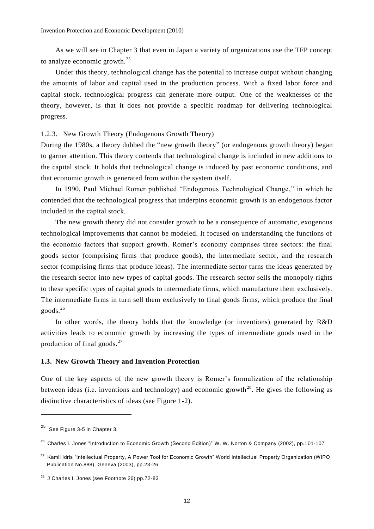As we will see in Chapter 3 that even in Japan a variety of organizations use the TFP concept to analyze economic growth. $^{25}$ 

Under this theory, technological change has the potential to increase output without changing the amounts of labor and capital used in the production process. With a fixed labor force and capital stock, technological progress can generate more output. One of the weaknesses of the theory, however, is that it does not provide a specific roadmap for delivering technological progress.

1.2.3. New Growth Theory (Endogenous Growth Theory)

During the 1980s, a theory dubbed the "new growth theory" (or endogenous growth theory) began to garner attention. This theory contends that technological change is included in new additions to the capital stock. It holds that technological change is induced by past economic conditions, and that economic growth is generated from within the system itself.

In 1990, Paul Michael Romer published "Endogenous Technological Change," in which he contended that the technological progress that underpins economic growth is an endogenous factor included in the capital stock.

The new growth theory did not consider growth to be a consequence of automatic, exogenous technological improvements that cannot be modeled. It focused on understanding the functions of the economic factors that support growth. Romer's economy comprises three sectors: the final goods sector (comprising firms that produce goods), the intermediate sector, and the research sector (comprising firms that produce ideas). The intermediate sector turns the ideas generated by the research sector into new types of capital goods. The research sector sells the monopoly rights to these specific types of capital goods to intermediate firms, which manufacture them exclusively. The intermediate firms in turn sell them exclusively to final goods firms, which produce the final goods.<sup>26</sup>

In other words, the theory holds that the knowledge (or inventions) generated by R&D activities leads to economic growth by increasing the types of intermediate goods used in the production of final goods. $^{27}$ 

## **1.3. New Growth Theory and Invention Protection**

One of the key aspects of the new growth theory is Romer's formulization of the relationship between ideas (i.e. inventions and technology) and economic growth<sup>28</sup>. He gives the following as distinctive characteristics of ideas (see Figure 1-2).

<sup>25</sup> See Figure 3-5 in Chapter 3.

<sup>&</sup>lt;sup>26</sup> Charles I. Jones "Introduction to Economic Growth (Second Edition)" W. W. Norton & Company (2002), pp.101-107

<sup>&</sup>lt;sup>27</sup> Kamil Idris "Intellectual Property, A Power Tool for Economic Growth" World Intellectual Property Organization (WIPO Publication No.888), Geneva (2003), pp.23-26

<sup>28</sup> J Charles I. Jones (see Footnote 26) pp.72-83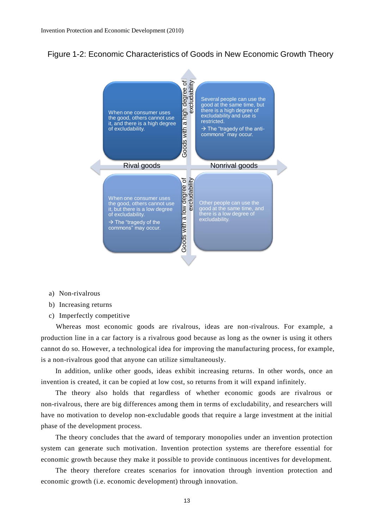



- a) Non-rivalrous
- b) Increasing returns
- c) Imperfectly competitive

Whereas most economic goods are rivalrous, ideas are non-rivalrous. For example, a production line in a car factory is a rivalrous good because as long as the owner is using it others cannot do so. However, a technological idea for improving the manufacturing process, for example, is a non-rivalrous good that anyone can utilize simultaneously.

In addition, unlike other goods, ideas exhibit increasing returns. In other words, once an invention is created, it can be copied at low cost, so returns from it will expand infinitely.

The theory also holds that regardless of whether economic goods are rivalrous or non-rivalrous, there are big differences among them in terms of excludability, and researchers will have no motivation to develop non-excludable goods that require a large investment at the initial phase of the development process.

The theory concludes that the award of temporary monopolies under an invention protection system can generate such motivation. Invention protection systems are therefore essential for economic growth because they make it possible to provide continuous incentives for development.

The theory therefore creates scenarios for innovation through invention protection and economic growth (i.e. economic development) through innovation.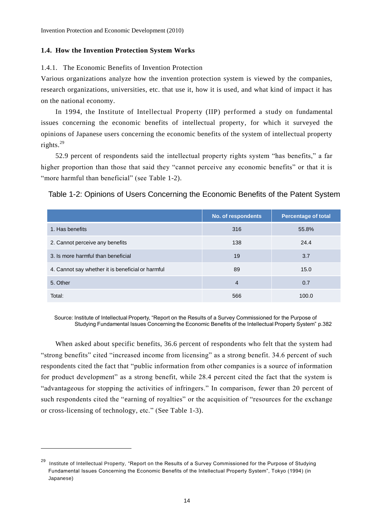## **1.4. How the Invention Protection System Works**

1.4.1. The Economic Benefits of Invention Protection

Various organizations analyze how the invention protection system is viewed by the companies, research organizations, universities, etc. that use it, how it is used, and what kind of impact it has on the national economy.

In 1994, the Institute of Intellectual Property (IIP) performed a study on fundamental issues concerning the economic benefits of intellectual property, for which it surveyed the opinions of Japanese users concerning the economic benefits of the system of intellectual property rights.<sup>29</sup>

52.9 percent of respondents said the intellectual property rights system "has benefits," a far higher proportion than those that said they "cannot perceive any economic benefits" or that it is "more harmful than beneficial" (see Table 1-2).

## Table 1-2: Opinions of Users Concerning the Economic Benefits of the Patent System

|                                                   | No. of respondents | <b>Percentage of total</b> |
|---------------------------------------------------|--------------------|----------------------------|
| 1. Has benefits                                   | 316                | 55.8%                      |
| 2. Cannot perceive any benefits                   | 138                | 24.4                       |
| 3. Is more harmful than beneficial                | 19                 | 3.7                        |
| 4. Cannot say whether it is beneficial or harmful | 89                 | 15.0                       |
| 5. Other                                          | $\overline{4}$     | 0.7                        |
| Total:                                            | 566                | 100.0                      |

Source: Institute of Intellectual Property, "Report on the Results of a Survey Commissioned for the Purpose of Studying Fundamental Issues Concerning the Economic Benefits of the Intellectual Property System" p.382

When asked about specific benefits, 36.6 percent of respondents who felt that the system had "strong benefits" cited "increased income from licensing" as a strong benefit. 34.6 percent of such respondents cited the fact that "public information from other companies is a source of information for product development" as a strong benefit, while 28.4 percent cited the fact that the system is "advantageous for stopping the activities of infringers." In comparison, fewer than 20 percent of such respondents cited the "earning of royalties" or the acquisition of "resources for the exchange or cross-licensing of technology, etc." (See Table 1-3).

<sup>&</sup>lt;sup>29</sup> Institute of Intellectual Property, "Report on the Results of a Survey Commissioned for the Purpose of Studying Fundamental Issues Concerning the Economic Benefits of the Intellectual Property System", Tokyo (1994) (in Japanese)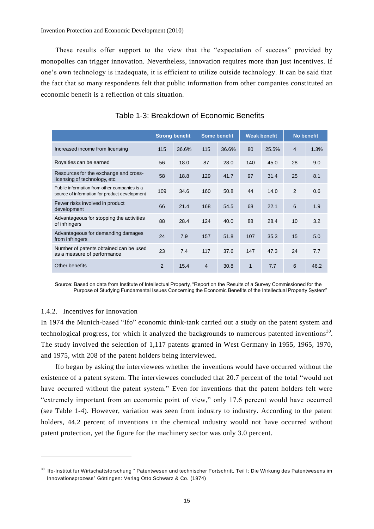These results offer support to the view that the "expectation of success" provided by monopolies can trigger innovation. Nevertheless, innovation requires more than just incentives. If one's own technology is inadequate, it is efficient to utilize outside technology. It can be said that the fact that so many respondents felt that public information from other companies constituted an economic benefit is a reflection of this situation.

|                                                                                               |                | <b>Strong benefit</b> |                | <b>Some benefit</b> |              | <b>Weak benefit</b> |    | <b>No benefit</b> |
|-----------------------------------------------------------------------------------------------|----------------|-----------------------|----------------|---------------------|--------------|---------------------|----|-------------------|
| Increased income from licensing                                                               | 115            | 36.6%                 | 115            | 36.6%               | 80           | 25.5%               | 4  | 1.3%              |
| Royalties can be earned                                                                       | 56             | 18.0                  | 87             | 28.0                | 140          | 45.0                | 28 | 9.0               |
| Resources for the exchange and cross-<br>licensing of technology, etc.                        | 58             | 18.8                  | 129            | 41.7                | 97           | 31.4                | 25 | 8.1               |
| Public information from other companies is a<br>source of information for product development | 109            | 34.6                  | 160            | 50.8                | 44           | 14.0                | 2  | 0.6               |
| Fewer risks involved in product<br>development                                                | 66             | 21.4                  | 168            | 54.5                | 68           | 22.1                | 6  | 1.9               |
| Advantageous for stopping the activities<br>of infringers                                     | 88             | 28.4                  | 124            | 40.0                | 88           | 28.4                | 10 | 3.2               |
| Advantageous for demanding damages<br>from infringers                                         | 24             | 7.9                   | 157            | 51.8                | 107          | 35.3                | 15 | 5.0               |
| Number of patents obtained can be used<br>as a measure of performance                         | 23             | 7.4                   | 117            | 37.6                | 147          | 47.3                | 24 | 7.7               |
| Other benefits                                                                                | $\mathfrak{p}$ | 15.4                  | $\overline{4}$ | 30.8                | $\mathbf{1}$ | 7.7                 | 6  | 46.2              |

## Table 1-3: Breakdown of Economic Benefits

Source: Based on data from Institute of Intellectual Property, "Report on the Results of a Survey Commissioned for the Purpose of Studying Fundamental Issues Concerning the Economic Benefits of the Intellectual Property System"

## 1.4.2. Incentives for Innovation

 $\overline{a}$ 

In 1974 the Munich-based "Ifo" economic think-tank carried out a study on the patent system and technological progress, for which it analyzed the backgrounds to numerous patented inventions<sup>30</sup>. The study involved the selection of 1,117 patents granted in West Germany in 1955, 1965, 1970, and 1975, with 208 of the patent holders being interviewed.

Ifo began by asking the interviewees whether the inventions would have occurred without the existence of a patent system. The interviewees concluded that 20.7 percent of the total "would not have occurred without the patent system." Even for inventions that the patent holders felt were "extremely important from an economic point of view," only 17.6 percent would have occurred (see Table 1-4). However, variation was seen from industry to industry. According to the patent holders, 44.2 percent of inventions in the chemical industry would not have occurred without patent protection, yet the figure for the machinery sector was only 3.0 percent.

<sup>30</sup> Ifo-Institut fur Wirtschaftsforschung " Patentwesen und technischer Fortschritt, Teil I: Die Wirkung des Patentwesens im Innovationsprozess" Göttingen: Verlag Otto Schwarz & Co. (1974)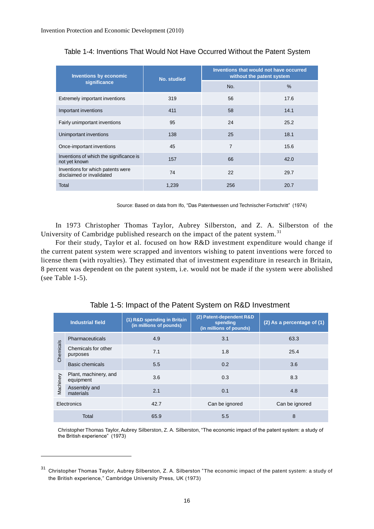| <b>Inventions by economic</b>                                  | <b>No. studied</b> | Inventions that would not have occurred<br>without the patent system |               |  |
|----------------------------------------------------------------|--------------------|----------------------------------------------------------------------|---------------|--|
| significance                                                   |                    | No.                                                                  | $\frac{0}{0}$ |  |
| Extremely important inventions                                 | 319                | 56                                                                   | 17.6          |  |
| Important inventions                                           | 411                | 58                                                                   | 14.1          |  |
| Fairly unimportant inventions                                  | 95                 | 24                                                                   | 25.2          |  |
| Unimportant inventions                                         | 138                | 25                                                                   | 18.1          |  |
| Once-important inventions                                      | 45                 | $\overline{7}$                                                       | 15.6          |  |
| Inventions of which the significance is<br>not yet known       | 157                | 66                                                                   | 42.0          |  |
| Inventions for which patents were<br>disclaimed or invalidated | 74                 | 22                                                                   | 29.7          |  |
| Total                                                          | 1,239              | 256                                                                  | 20.7          |  |

Table 1-4: Inventions That Would Not Have Occurred Without the Patent System

Source: Based on data from Ifo, "Das Patentwessen und Technischer Fortschritt" (1974)

In 1973 Christopher Thomas Taylor, Aubrey Silberston, and Z. A. Silberston of the University of Cambridge published research on the impact of the patent system.<sup>31</sup>

For their study, Taylor et al. focused on how R&D investment expenditure would change if the current patent system were scrapped and inventors wishing to patent inventions were forced to license them (with royalties). They estimated that of investment expenditure in research in Britain, 8 percent was dependent on the patent system, i.e. would not be made if the system were abolished (see Table 1-5).

|             | <b>Industrial field</b>            | (1) R&D spending in Britain<br>(in millions of pounds) | (2) Patent-dependent R&D<br>spending<br>(in millions of pounds) | (2) As a percentage of (1) |
|-------------|------------------------------------|--------------------------------------------------------|-----------------------------------------------------------------|----------------------------|
|             | Pharmaceuticals                    | 4.9                                                    | 3.1                                                             | 63.3                       |
| Chemicals   | Chemicals for other<br>purposes    | 7.1                                                    | 1.8                                                             | 25.4                       |
|             | Basic chemicals                    | 5.5                                                    | 0.2                                                             | 3.6                        |
|             | Plant, machinery, and<br>equipment | 3.6                                                    | 0.3                                                             | 8.3                        |
| Machinery   | Assembly and<br>materials          | 2.1                                                    | 0.1                                                             | 4.8                        |
| Electronics |                                    | 42.7                                                   | Can be ignored                                                  | Can be ignored             |
| Total       |                                    | 65.9                                                   | 5.5                                                             | 8                          |

Table 1-5: Impact of the Patent System on R&D Investment

Christopher Thomas Taylor, Aubrey Silberston, Z. A. Silberston, "The economic impact of the patent system: a study of the British experience" (1973)

<sup>31</sup> Christopher Thomas Taylor, Aubrey Silberston, Z. A. Silberston "The economic impact of the patent system: a study of the British experience," Cambridge University Press, UK (1973)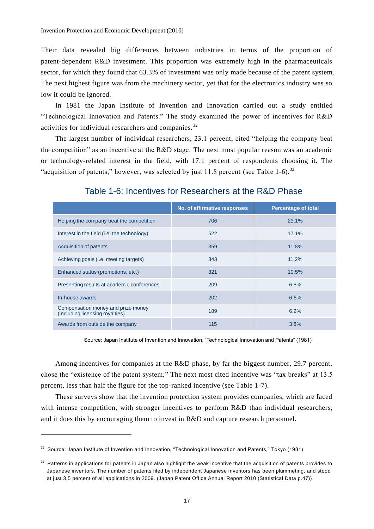Their data revealed big differences between industries in terms of the proportion of patent-dependent R&D investment. This proportion was extremely high in the pharmaceuticals sector, for which they found that 63.3% of investment was only made because of the patent system. The next highest figure was from the machinery sector, yet that for the electronics industry was so low it could be ignored.

In 1981 the Japan Institute of Invention and Innovation carried out a study entitled "Technological Innovation and Patents." The study examined the power of incentives for R&D activities for individual researchers and companies. <sup>32</sup>

The largest number of individual researchers, 23.1 percent, cited "helping the company beat the competition" as an incentive at the  $R&D$  stage. The next most popular reason was an academic or technology-related interest in the field, with 17.1 percent of respondents choosing it. The "acquisition of patents," however, was selected by just 11.8 percent (see Table 1-6).<sup>33</sup>

|                                                                       | No. of affirmative responses | <b>Percentage of total</b> |
|-----------------------------------------------------------------------|------------------------------|----------------------------|
| Helping the company beat the competition                              | 706                          | 23.1%                      |
| Interest in the field (i.e. the technology)                           | 522                          | 17.1%                      |
| <b>Acquisition of patents</b>                                         | 359                          | 11.8%                      |
| Achieving goals (i.e. meeting targets)                                | 343                          | 11.2%                      |
| Enhanced status (promotions, etc.)                                    | 321                          | 10.5%                      |
| Presenting results at academic conferences                            | 209                          | 6.8%                       |
| In-house awards                                                       | 202                          | 6.6%                       |
| Compensation money and prize money<br>(including licensing royalties) | 189                          | 6.2%                       |
| Awards from outside the company                                       | 115                          | 3.8%                       |

Table 1-6: Incentives for Researchers at the R&D Phase

Source: Japan Institute of Invention and Innovation, "Technological Innovation and Patents" (1981)

Among incentives for companies at the R&D phase, by far the biggest number, 29.7 percent, chose the "existence of the patent system." The next most cited incentive was "tax breaks" at 13.5 percent, less than half the figure for the top-ranked incentive (see Table 1-7).

These surveys show that the invention protection system provides companies, which are faced with intense competition, with stronger incentives to perform R&D than individual researchers, and it does this by encouraging them to invest in R&D and capture research personnel.

<sup>&</sup>lt;sup>32</sup> Source: Japan Institute of Invention and Innovation, "Technological Innovation and Patents," Tokyo (1981)

<sup>&</sup>lt;sup>33</sup> Patterns in applications for patents in Japan also highlight the weak incentive that the acquisition of patents provides to Japanese inventors. The number of patents filed by independent Japanese inventors has been plummeting, and stood at just 3.5 percent of all applications in 2009. (Japan Patent Office Annual Report 2010 (Statistical Data p.47))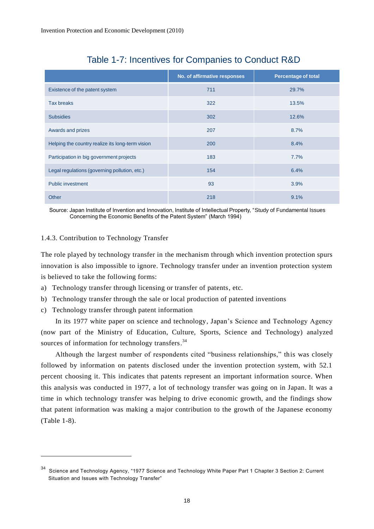|                                                  | No. of affirmative responses | <b>Percentage of total</b> |
|--------------------------------------------------|------------------------------|----------------------------|
| Existence of the patent system                   | 711                          | 29.7%                      |
| <b>Tax breaks</b>                                | 322                          | 13.5%                      |
| <b>Subsidies</b>                                 | 302                          | 12.6%                      |
| Awards and prizes                                | 207                          | 8.7%                       |
| Helping the country realize its long-term vision | 200                          | 8.4%                       |
| Participation in big government projects         | 183                          | 7.7%                       |
| Legal regulations (governing pollution, etc.)    | 154                          | 6.4%                       |
| <b>Public investment</b>                         | 93                           | 3.9%                       |
| Other                                            | 218                          | 9.1%                       |

## Table 1-7: Incentives for Companies to Conduct R&D

Source: Japan Institute of Invention and Innovation, Institute of Intellectual Property, "Study of Fundamental Issues Concerning the Economic Benefits of the Patent System" (March 1994)

## 1.4.3. Contribution to Technology Transfer

The role played by technology transfer in the mechanism through which invention protection spurs innovation is also impossible to ignore. Technology transfer under an invention protection system is believed to take the following forms:

- a) Technology transfer through licensing or transfer of patents, etc.
- b) Technology transfer through the sale or local production of patented inventions
- c) Technology transfer through patent information

 $\overline{a}$ 

In its 1977 white paper on science and technology, Japan's Science and Technology Agency (now part of the Ministry of Education, Culture, Sports, Science and Technology) analyzed sources of information for technology transfers.<sup>34</sup>

Although the largest number of respondents cited "business relationships," this was closely followed by information on patents disclosed under the invention protection system, with 52.1 percent choosing it. This indicates that patents represent an important information source. When this analysis was conducted in 1977, a lot of technology transfer was going on in Japan. It was a time in which technology transfer was helping to drive economic growth, and the findings show that patent information was making a major contribution to the growth of the Japanese economy (Table 1-8).

<sup>34</sup> Science and Technology Agency, "1977 Science and Technology White Paper Part 1 Chapter 3 Section 2: Current Situation and Issues with Technology Transfer"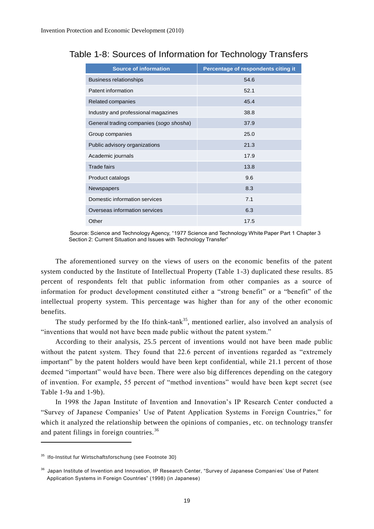| <b>Source of information</b>            | Percentage of respondents citing it |
|-----------------------------------------|-------------------------------------|
| <b>Business relationships</b>           | 54.6                                |
| Patent information                      | 52.1                                |
| Related companies                       | 45.4                                |
| Industry and professional magazines     | 38.8                                |
| General trading companies (sogo shosha) | 37.9                                |
| Group companies                         | 25.0                                |
| Public advisory organizations           | 21.3                                |
| Academic journals                       | 17.9                                |
| <b>Trade fairs</b>                      | 13.8                                |
| Product catalogs                        | 9.6                                 |
| <b>Newspapers</b>                       | 8.3                                 |
| Domestic information services           | 7.1                                 |
| Overseas information services           | 6.3                                 |
| Other                                   | 17.5                                |

## Table 1-8: Sources of Information for Technology Transfers

Source: Science and Technology Agency, "1977 Science and Technology White Paper Part 1 Chapter 3 Section 2: Current Situation and Issues with Technology Transfer"

The aforementioned survey on the views of users on the economic benefits of the patent system conducted by the Institute of Intellectual Property (Table 1-3) duplicated these results. 85 percent of respondents felt that public information from other companies as a source of information for product development constituted either a "strong benefit" or a "benefit" of the intellectual property system. This percentage was higher than for any of the other economic benefits.

The study performed by the Ifo think-tank<sup>35</sup>, mentioned earlier, also involved an analysis of "inventions that would not have been made public without the patent system."

According to their analysis, 25.5 percent of inventions would not have been made public without the patent system. They found that 22.6 percent of inventions regarded as "extremely important" by the patent holders would have been kept confidential, while 21.1 percent of those deemed "important" would have been. There were also big differences depending on the category of invention. For example, 55 percent of "method inventions" would have been kept secret (see Table 1-9a and 1-9b).

In 1998 the Japan Institute of Invention and Innovation's IP Research Center conducted a "Survey of Japanese Companies' Use of Patent Application Systems in Foreign Countries," for which it analyzed the relationship between the opinions of companies, etc. on technology transfer and patent filings in foreign countries.<sup>36</sup>

<sup>35</sup> Ifo-Institut fur Wirtschaftsforschung (see Footnote 30)

<sup>&</sup>lt;sup>36</sup> Japan Institute of Invention and Innovation, IP Research Center, "Survey of Japanese Companies' Use of Patent Application Systems in Foreign Countries" (1998) (in Japanese)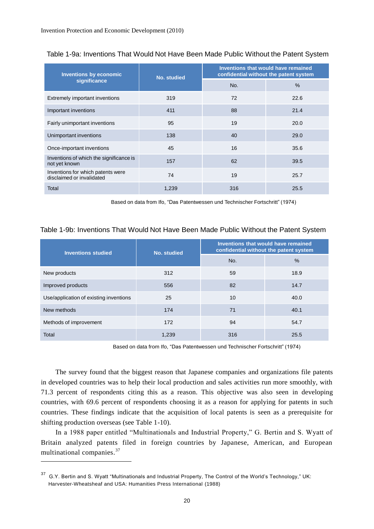| <b>Inventions by economic</b>                                                                                                 | <b>No. studied</b>                                                                     | Inventions that would have remained<br>confidential without the patent system |      |  |
|-------------------------------------------------------------------------------------------------------------------------------|----------------------------------------------------------------------------------------|-------------------------------------------------------------------------------|------|--|
| significance                                                                                                                  |                                                                                        | No.                                                                           | %    |  |
| Extremely important inventions                                                                                                | 319                                                                                    | 72                                                                            | 22.6 |  |
| Important inventions                                                                                                          | 411                                                                                    | 88                                                                            | 21.4 |  |
| Fairly unimportant inventions                                                                                                 | 95                                                                                     | 19                                                                            | 20.0 |  |
| Unimportant inventions                                                                                                        | 138                                                                                    | 40                                                                            | 29.0 |  |
| Once-important inventions                                                                                                     | 45                                                                                     | 16                                                                            | 35.6 |  |
| Inventions of which the significance is<br>not yet known                                                                      | 157                                                                                    | 62                                                                            | 39.5 |  |
| Inventions for which patents were<br>disclaimed or invalidated                                                                | 74                                                                                     | 19                                                                            | 25.7 |  |
| Total                                                                                                                         | 1,239                                                                                  | 316                                                                           | 25.5 |  |
| <b>Inventions studied</b>                                                                                                     | <b>No. studied</b>                                                                     | confidential without the patent system                                        |      |  |
|                                                                                                                               |                                                                                        | Inventions that would have remained                                           |      |  |
|                                                                                                                               |                                                                                        |                                                                               |      |  |
|                                                                                                                               |                                                                                        | No.                                                                           | %    |  |
|                                                                                                                               | 312                                                                                    | 59                                                                            | 18.9 |  |
|                                                                                                                               | 556                                                                                    | 82                                                                            | 14.7 |  |
|                                                                                                                               | 25                                                                                     | 10                                                                            | 40.0 |  |
|                                                                                                                               | 174                                                                                    | 71                                                                            | 40.1 |  |
|                                                                                                                               | 172                                                                                    | 94                                                                            | 54.7 |  |
| New products<br>Improved products<br>Use/application of existing inventions<br>New methods<br>Methods of improvement<br>Total | 1,239<br>Based on data from Ifo, "Das Patentwessen und Technischer Fortschritt" (1974) | 316                                                                           | 25.5 |  |

Table 1-9b: Inventions That Would Not Have Been Made Public Without the Patent System

| <b>Inventions studied</b>              | No. studied | Inventions that would have remained<br>confidential without the patent system |               |  |
|----------------------------------------|-------------|-------------------------------------------------------------------------------|---------------|--|
|                                        |             | No.                                                                           | $\frac{0}{0}$ |  |
| New products                           | 312         | 59                                                                            | 18.9          |  |
| Improved products                      | 556         | 82                                                                            | 14.7          |  |
| Use/application of existing inventions | 25          | 10                                                                            | 40.0          |  |
| New methods                            | 174         | 71                                                                            | 40.1          |  |
| Methods of improvement                 | 172         | 94                                                                            | 54.7          |  |
| Total                                  | 1,239       | 316                                                                           | 25.5          |  |

<sup>&</sup>lt;sup>37</sup> G.Y. Bertin and S. Wyatt "Multinationals and Industrial Property, The Control of the World's Technology," UK: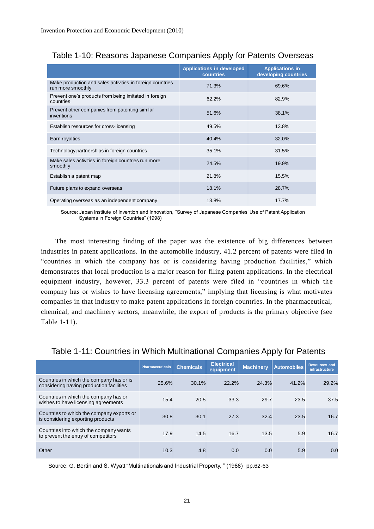|                                                                                | <b>Applications in developed</b><br>countries | <b>Applications in</b><br>developing countries |
|--------------------------------------------------------------------------------|-----------------------------------------------|------------------------------------------------|
| Make production and sales activities in foreign countries<br>run more smoothly | 71.3%                                         | 69.6%                                          |
| Prevent one's products from being imitated in foreign<br>countries             | 62.2%                                         | 82.9%                                          |
| Prevent other companies from patenting similar<br>inventions                   | 51.6%                                         | 38.1%                                          |
| Establish resources for cross-licensing                                        | 49.5%                                         | 13.8%                                          |
| Earn royalties                                                                 | 40.4%                                         | 32.0%                                          |
| Technology partnerships in foreign countries                                   | 35.1%                                         | 31.5%                                          |
| Make sales activities in foreign countries run more<br>smoothly                | 24.5%                                         | 19.9%                                          |
| Establish a patent map                                                         | 21.8%                                         | 15.5%                                          |
| Future plans to expand overseas                                                | 18.1%                                         | 28.7%                                          |
| Operating overseas as an independent company                                   | 13.8%                                         | 17.7%                                          |

## Table 1-10: Reasons Japanese Companies Apply for Patents Overseas

Source: Japan Institute of Invention and Innovation, "Survey of Japanese Companies' Use of Patent Application Systems in Foreign Countries" (1998)

The most interesting finding of the paper was the existence of big differences between industries in patent applications. In the automobile industry, 41.2 percent of patents were filed in "countries in which the company has or is considering having production facilities," which demonstrates that local production is a major reason for filing patent applications. In the electrical equipment industry, however, 33.3 percent of patents were filed in "countries in which the company has or wishes to have licensing agreements," implying that licensing is what motivates companies in that industry to make patent applications in foreign countries. In the pharmaceutical, chemical, and machinery sectors, meanwhile, the export of products is the primary objective (see Table 1-11).

| Table 1-11: Countries in Which Multinational Companies Apply for Patents |  |
|--------------------------------------------------------------------------|--|
|                                                                          |  |

|                                                                                      | <b>Pharmaceuticals</b> | <b>Chemicals</b> | <b>Electrical</b><br>equipment | <b>Machinery</b> | <b>Automobiles</b> | <b>Resources and</b><br><b>infrastructure</b> |
|--------------------------------------------------------------------------------------|------------------------|------------------|--------------------------------|------------------|--------------------|-----------------------------------------------|
| Countries in which the company has or is<br>considering having production facilities | 25.6%                  | 30.1%            | 22.2%                          | 24.3%            | 41.2%              | 29.2%                                         |
| Countries in which the company has or<br>wishes to have licensing agreements         | 15.4                   | 20.5             | 33.3                           | 29.7             | 23.5               | 37.5                                          |
| Countries to which the company exports or<br>is considering exporting products       | 30.8                   | 30.1             | 27.3                           | 32.4             | 23.5               | 16.7                                          |
| Countries into which the company wants<br>to prevent the entry of competitors        | 17.9                   | 14.5             | 16.7                           | 13.5             | 5.9                | 16.7                                          |
| Other                                                                                | 10.3                   | 4.8              | 0.0                            | 0.0              | 5.9                | 0.0                                           |

Source: G. Bertin and S. Wyatt "Multinationals and Industrial Property, " (1988) pp.62-63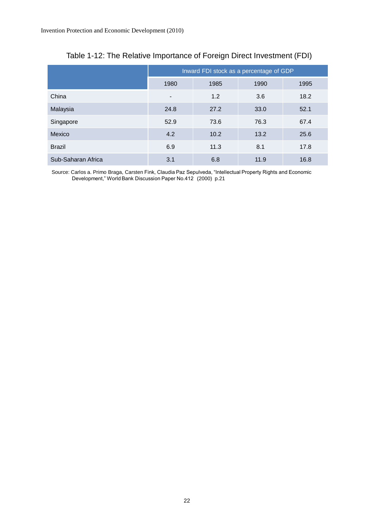|                    | Inward FDI stock as a percentage of GDP |      |      |      |  |
|--------------------|-----------------------------------------|------|------|------|--|
|                    | 1980                                    | 1985 | 1990 | 1995 |  |
| China              | $\overline{\phantom{a}}$                | 1.2  | 3.6  | 18.2 |  |
| Malaysia           | 24.8                                    | 27.2 | 33.0 | 52.1 |  |
| Singapore          | 52.9                                    | 73.6 | 76.3 | 67.4 |  |
| Mexico             | 4.2                                     | 10.2 | 13.2 | 25.6 |  |
| <b>Brazil</b>      | 6.9                                     | 11.3 | 8.1  | 17.8 |  |
| Sub-Saharan Africa | 3.1                                     | 6.8  | 11.9 | 16.8 |  |

## Table 1-12: The Relative Importance of Foreign Direct Investment (FDI)

Source: Carlos a. Primo Braga, Carsten Fink, Claudia Paz Sepulveda, "Intellectual Property Rights and Economic Development," World Bank Discussion Paper No.412 (2000) p.21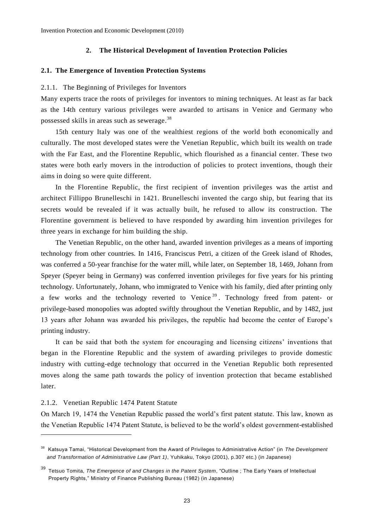## **2. The Historical Development of Invention Protection Policies**

#### **2.1. The Emergence of Invention Protection Systems**

## 2.1.1. The Beginning of Privileges for Inventors

Many experts trace the roots of privileges for inventors to mining techniques. At least as far back as the 14th century various privileges were awarded to artisans in Venice and Germany who possessed skills in areas such as sewerage.<sup>38</sup>

15th century Italy was one of the wealthiest regions of the world both economically and culturally. The most developed states were the Venetian Republic, which built its wealth on trade with the Far East, and the Florentine Republic, which flourished as a financial center. These two states were both early movers in the introduction of policies to protect inventions, though their aims in doing so were quite different.

In the Florentine Republic, the first recipient of invention privileges was the artist and architect Fillippo Brunelleschi in 1421. Brunelleschi invented the cargo ship, but fearing that its secrets would be revealed if it was actually built, he refused to allow its construction. The Florentine government is believed to have responded by awarding him invention privileges for three years in exchange for him building the ship.

The Venetian Republic, on the other hand, awarded invention privileges as a means of importing technology from other countries. In 1416, Franciscus Petri, a citizen of the Greek island of Rhodes, was conferred a 50-year franchise for the water mill, while later, on September 18, 1469, Johann from Speyer (Speyer being in Germany) was conferred invention privileges for five years for his printing technology. Unfortunately, Johann, who immigrated to Venice with his family, died after printing only a few works and the technology reverted to Venice  $39$ . Technology freed from patent- or privilege-based monopolies was adopted swiftly throughout the Venetian Republic, and by 1482, just 13 years after Johann was awarded his privileges, the republic had become the center of Europe's printing industry.

It can be said that both the system for encouraging and licensing citizens' inventions that began in the Florentine Republic and the system of awarding privileges to provide domestic industry with cutting-edge technology that occurred in the Venetian Republic both represented moves along the same path towards the policy of invention protection that became established later.

## 2.1.2. Venetian Republic 1474 Patent Statute

 $\overline{a}$ 

On March 19, 1474 the Venetian Republic passed the world's first patent statute. This law, known as the Venetian Republic 1474 Patent Statute, is believed to be the world's oldest government-established

<sup>38</sup> Katsuya Tamai, "Historical Development from the Award of Privileges to Administrative Action" (in *The Development and Transformation of Administrative Law (Part 1)*, Yuhikaku, Tokyo (2001), p.307 etc.) (in Japanese)

<sup>39</sup> Tetsuo Tomita, *The Emergence of and Changes in the Patent System*, "Outline ; The Early Years of Intellectual Property Rights," Ministry of Finance Publishing Bureau (1982) (in Japanese)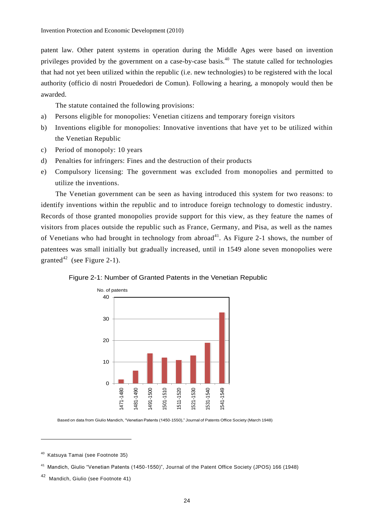patent law. Other patent systems in operation during the Middle Ages were based on invention privileges provided by the government on a case-by-case basis.<sup>40</sup> The statute called for technologies that had not yet been utilized within the republic (i.e. new technologies) to be registered with the local authority (officio di nostri Prouededori de Comun). Following a hearing, a monopoly would then be awarded.

The statute contained the following provisions:

- a) Persons eligible for monopolies: Venetian citizens and temporary foreign visitors
- b) Inventions eligible for monopolies: Innovative inventions that have yet to be utilized within the Venetian Republic
- c) Period of monopoly: 10 years
- d) Penalties for infringers: Fines and the destruction of their products
- e) Compulsory licensing: The government was excluded from monopolies and permitted to utilize the inventions.

The Venetian government can be seen as having introduced this system for two reasons: to identify inventions within the republic and to introduce foreign technology to domestic industry. Records of those granted monopolies provide support for this view, as they feature the names of visitors from places outside the republic such as France, Germany, and Pisa, as well as the names of Venetians who had brought in technology from abroad<sup>41</sup>. As Figure 2-1 shows, the number of patentees was small initially but gradually increased, until in 1549 alone seven monopolies were granted<sup>42</sup> (see Figure 2-1).



Figure 2-1: Number of Granted Patents in the Venetian Republic

Based on data from Giulio Mandich, "Venetian Patents (1450-1550)," Journal of Patents Office Society (March 1948)

<sup>40</sup> Katsuya Tamai (see Footnote 35)

<sup>41</sup> Mandich, Giulio "Venetian Patents (1450-1550)", Journal of the Patent Office Society (JPOS) 166 (1948)

<sup>42</sup> Mandich, Giulio (see Footnote 41)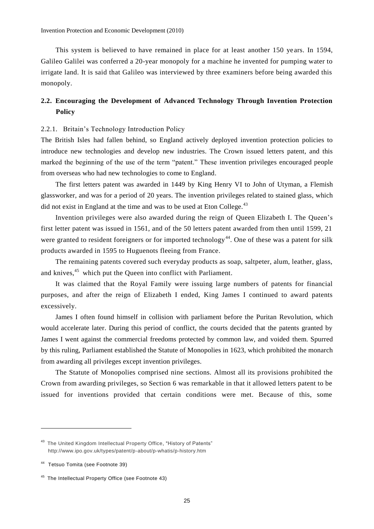This system is believed to have remained in place for at least another 150 ye ars. In 1594, Galileo Galilei was conferred a 20-year monopoly for a machine he invented for pumping water to irrigate land. It is said that Galileo was interviewed by three examiners before being awarded this monopoly.

## **2.2. Encouraging the Development of Advanced Technology Through Invention Protection Policy**

## 2.2.1. Britain's Technology Introduction Policy

The British Isles had fallen behind, so England actively deployed invention protection policies to introduce new technologies and develop new industries. The Crown issued letters patent, and this marked the beginning of the use of the term "patent." These invention privileges encouraged people from overseas who had new technologies to come to England.

The first letters patent was awarded in 1449 by King Henry VI to John of Utyman, a Flemish glassworker, and was for a period of 20 years. The invention privileges related to stained glass, which did not exist in England at the time and was to be used at Eton College.<sup>43</sup>

Invention privileges were also awarded during the reign of Queen Elizabeth I. The Queen's first letter patent was issued in 1561, and of the 50 letters patent awarded from then until 1599, 21 were granted to resident foreigners or for imported technology<sup>44</sup>. One of these was a patent for silk products awarded in 1595 to Huguenots fleeing from France.

The remaining patents covered such everyday products as soap, saltpeter, alum, leather, glass, and knives,<sup>45</sup> which put the Queen into conflict with Parliament.

It was claimed that the Royal Family were issuing large numbers of patents for financial purposes, and after the reign of Elizabeth I ended, King James I continued to award patents excessively.

James I often found himself in collision with parliament before the Puritan Revolution, which would accelerate later. During this period of conflict, the courts decided that the patents granted by James I went against the commercial freedoms protected by common law, and voided them. Spurred by this ruling, Parliament established the Statute of Monopolies in 1623, which prohibited the monarch from awarding all privileges except invention privileges.

The Statute of Monopolies comprised nine sections. Almost all its provisions prohibited the Crown from awarding privileges, so Section 6 was remarkable in that it allowed letters patent to be issued for inventions provided that certain conditions were met. Because of this, some

<sup>&</sup>lt;sup>43</sup> The United Kingdom Intellectual Property Office, "History of Patents" http://www.ipo.gov.uk/types/patent/p-about/p-whatis/p-history.htm

<sup>44</sup> Tetsuo Tomita (see Footnote 39)

<sup>45</sup> The Intellectual Property Office (see Footnote 43)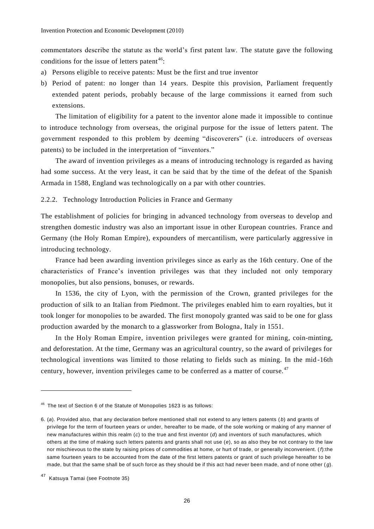commentators describe the statute as the world's first patent law. The statute gave the following conditions for the issue of letters patent<sup>46</sup>:

- a) Persons eligible to receive patents: Must be the first and true inventor
- b) Period of patent: no longer than 14 years. Despite this provision, Parliament frequently extended patent periods, probably because of the large commissions it earned from such extensions.

The limitation of eligibility for a patent to the inventor alone made it impossible to continue to introduce technology from overseas, the original purpose for the issue of letters patent. The government responded to this problem by deeming "discoverers" (i.e. introducers of overseas patents) to be included in the interpretation of "inventors."

The award of invention privileges as a means of introducing technology is regarded as having had some success. At the very least, it can be said that by the time of the defeat of the Spanish Armada in 1588, England was technologically on a par with other countries.

2.2.2. Technology Introduction Policies in France and Germany

The establishment of policies for bringing in advanced technology from overseas to develop and strengthen domestic industry was also an important issue in other European countries. France and Germany (the Holy Roman Empire), expounders of mercantilism, were particularly aggressive in introducing technology.

France had been awarding invention privileges since as early as the 16th century. One of the characteristics of France's invention privileges was that they included not only temporary monopolies, but also pensions, bonuses, or rewards.

In 1536, the city of Lyon, with the permission of the Crown, granted privileges for the production of silk to an Italian from Piedmont. The privileges enabled him to earn royalties, but it took longer for monopolies to be awarded. The first monopoly granted was said to be one for glass production awarded by the monarch to a glassworker from Bologna, Italy in 1551.

In the Holy Roman Empire, invention privileges were granted for mining, coin-minting, and deforestation. At the time, Germany was an agricultural country, so the award of privileges for technological inventions was limited to those relating to fields such as mining. In the mid -16th century, however, invention privileges came to be conferred as a matter of course.<sup>47</sup>

<sup>46</sup> The text of Section 6 of the Statute of Monopolies 1623 is as follows:

<sup>6.</sup> (*a*). Provided also, that any declaration before mentioned shall not extend to any letters patents ( *b*) and grants of privilege for the term of fourteen years or under, hereafter to be made, of the sole working or making of any manner of new manufactures within this realm (*c*) to the true and first inventor (*d*) and inventors of such manufactures, which others at the time of making such letters patents and grants shall not use (*e*), so as also they be not contrary to the law nor mischievous to the state by raising prices of commodities at home, or hurt of trade, or generally inconvenient. (*f*):the same fourteen years to be accounted from the date of the first letters patents or grant of such privilege hereafter to be made, but that the same shall be of such force as they should be if this act had never been made, and of none other ( *g*).

<sup>47</sup> Katsuya Tamai (see Footnote 35)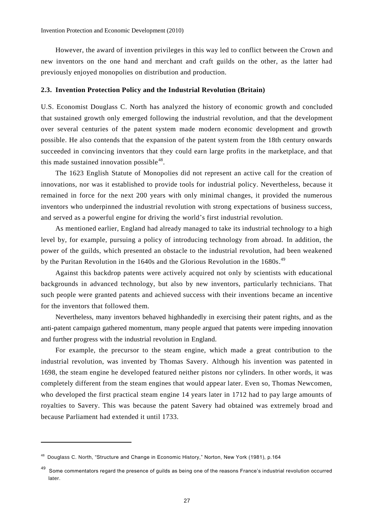However, the award of invention privileges in this way led to conflict between the Crown and new inventors on the one hand and merchant and craft guilds on the other, as the latter had previously enjoyed monopolies on distribution and production.

#### **2.3. Invention Protection Policy and the Industrial Revolution (Britain)**

U.S. Economist Douglass C. North has analyzed the history of economic growth and concluded that sustained growth only emerged following the industrial revolution, and that the development over several centuries of the patent system made modern economic development and growth possible. He also contends that the expansion of the patent system from the 18th century onwards succeeded in convincing inventors that they could earn large profits in the marketplace, and that this made sustained innovation possible<sup>48</sup>.

The 1623 English Statute of Monopolies did not represent an active call for the creation of innovations, nor was it established to provide tools for industrial policy. Nevertheless, because it remained in force for the next 200 years with only minimal changes, it provided the numerous inventors who underpinned the industrial revolution with strong expectations of business success, and served as a powerful engine for driving the world's first industrial revolution.

As mentioned earlier, England had already managed to take its industrial technology to a high level by, for example, pursuing a policy of introducing technology from abroad. In addition, the power of the guilds, which presented an obstacle to the industrial revolution, had been weakened by the Puritan Revolution in the 1640s and the Glorious Revolution in the 1680s.<sup>49</sup>

Against this backdrop patents were actively acquired not only by scientists with educational backgrounds in advanced technology, but also by new inventors, particularly technicians. That such people were granted patents and achieved success with their inventions became an incentive for the inventors that followed them.

Nevertheless, many inventors behaved highhandedly in exercising their patent rights, and as the anti-patent campaign gathered momentum, many people argued that patents were impeding innovation and further progress with the industrial revolution in England.

For example, the precursor to the steam engine, which made a great contribution to the industrial revolution, was invented by Thomas Savery. Although his invention was patented in 1698, the steam engine he developed featured neither pistons nor cylinders. In other words, it was completely different from the steam engines that would appear later. Even so, Thomas Newcomen, who developed the first practical steam engine 14 years later in 1712 had to pay large amounts of royalties to Savery. This was because the patent Savery had obtained was extremely broad and because Parliament had extended it until 1733.

<sup>&</sup>lt;sup>48</sup> Douglass C. North, "Structure and Change in Economic History," Norton, New York (1981), p.164

<sup>49</sup> Some commentators regard the presence of guilds as being one of the reasons France's industrial revolution occurred later.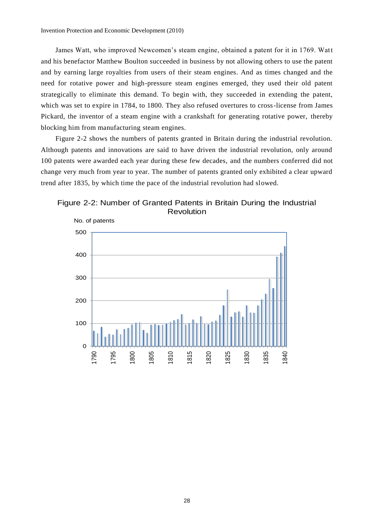James Watt, who improved Newcomen's steam engine, obtained a patent for it in 1769. Watt and his benefactor Matthew Boulton succeeded in business by not allowing others to use the patent and by earning large royalties from users of their steam engines. And as times changed and the need for rotative power and high-pressure steam engines emerged, they used their old patent strategically to eliminate this demand. To begin with, they succeeded in extending the patent, which was set to expire in 1784, to 1800. They also refused overtures to cross-license from James Pickard, the inventor of a steam engine with a crankshaft for generating rotative power, thereby blocking him from manufacturing steam engines.

Figure 2-2 shows the numbers of patents granted in Britain during the industrial revolution. Although patents and innovations are said to have driven the industrial revolution, only around 100 patents were awarded each year during these few decades, and the numbers conferred did not change very much from year to year. The number of patents granted only exhibited a clear upward trend after 1835, by which time the pace of the industrial revolution had slowed.

Figure 2-2: Number of Granted Patents in Britain During the Industrial Revolution

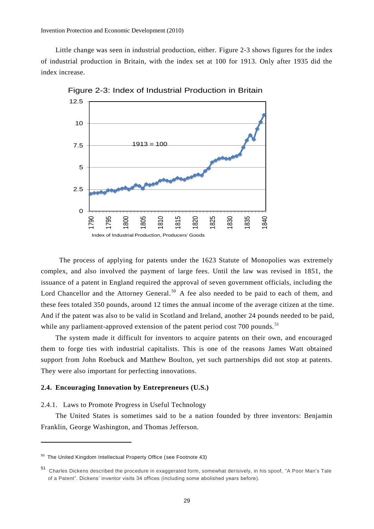Invention Protection and Economic Development (2010)

Little change was seen in industrial production, either. Figure 2-3 shows figures for the index of industrial production in Britain, with the index set at 100 for 1913. Only after 1935 did the index increase.



Figure 2-3: Index of Industrial Production in Britain

The process of applying for patents under the 1623 Statute of Monopolies was extremely complex, and also involved the payment of large fees. Until the law was revised in 1851, the issuance of a patent in England required the approval of seven government officials, including the Lord Chancellor and the Attorney General.<sup>50</sup> A fee also needed to be paid to each of them, and these fees totaled 350 pounds, around 12 times the annual income of the average citizen at the time. And if the patent was also to be valid in Scotland and Ireland, another 24 pounds needed to be paid, while any parliament-approved extension of the patent period cost  $700$  pounds.<sup>51</sup>

The system made it difficult for inventors to acquire patents on their own, and encouraged them to forge ties with industrial capitalists. This is one of the reasons James Watt obtained support from John Roebuck and Matthew Boulton, yet such partnerships did not stop at patents. They were also important for perfecting innovations.

## **2.4. Encouraging Innovation by Entrepreneurs (U.S.)**

## 2.4.1. Laws to Promote Progress in Useful Technology

The United States is sometimes said to be a nation founded by three inventors: Benjamin Franklin, George Washington, and Thomas Jefferson.

 $50$  The United Kingdom Intellectual Property Office (see Footnote 43)

<sup>51</sup> Charles Dickens described the procedure in exaggerated form, somewhat derisively, in his spoof, "A Poor Man's Tale of a Patent". Dickens' inventor visits 34 offices (including some abolished years before).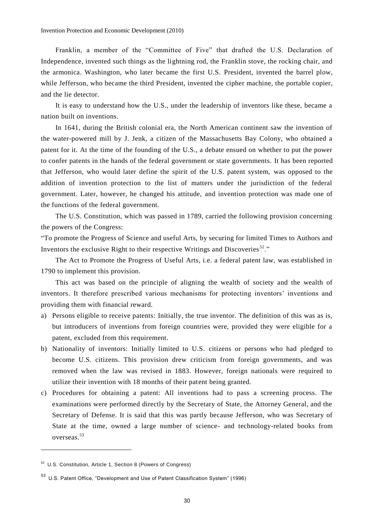Franklin, a member of the "Committee of Five" that drafted the U.S. Declaration of Independence, invented such things as the lightning rod, the Franklin stove, the rocking chair, and the armonica. Washington, who later became the first U.S. President, invented the barrel plow, while Jefferson, who became the third President, invented the cipher machine, the portable copier, and the lie detector.

It is easy to understand how the U.S., under the leadership of inventors like these, became a nation built on inventions.

In 1641, during the British colonial era, the North American continent saw the invention of the water-powered mill by J. Jenk, a citizen of the Massachusetts Bay Colony, who obtained a patent for it. At the time of the founding of the U.S., a debate ensued on whether to put the power to confer patents in the hands of the federal government or state governments. It has been reported that Jefferson, who would later define the spirit of the U.S. patent system, was opposed to the addition of invention protection to the list of matters under the jurisdiction of the federal government. Later, however, he changed his attitude, and invention protection was made one of the functions of the federal government.

The U.S. Constitution, which was passed in 1789, carried the following provision concerning the powers of the Congress:

"To promote the Progress of Science and useful Arts, by securing for limited Times to Authors and Inventors the exclusive Right to their respective Writings and Discoveries  $52$ ."

The Act to Promote the Progress of Useful Arts, i.e. a federal patent law, was established in 1790 to implement this provision.

This act was based on the principle of aligning the wealth of society and the wealth of inventors. It therefore prescribed various mechanisms for protecting inventors' inventions and providing them with financial reward.

- a) Persons eligible to receive patents: Initially, the true inventor. The definition of this was as is, but introducers of inventions from foreign countries were, provided they were eligible for a patent, excluded from this requirement.
- b) Nationality of inventors: Initially limited to U.S. citizens or persons who had pledged to become U.S. citizens. This provision drew criticism from foreign governments, and was removed when the law was revised in 1883. However, foreign nationals were required to utilize their invention with 18 months of their patent being granted.
- c) Procedures for obtaining a patent: All inventions had to pass a screening process. The examinations were performed directly by the Secretary of State, the Attorney General, and the Secretary of Defense. It is said that this was partly because Jefferson, who was Secretary of State at the time, owned a large number of science- and technology-related books from overseas.<sup>53</sup>

<sup>52</sup> U.S. Constitution, Article 1, Section 8 (Powers of Congress)

<sup>53</sup> U.S. Patent Office, "Development and Use of Patent Classification System" (1996)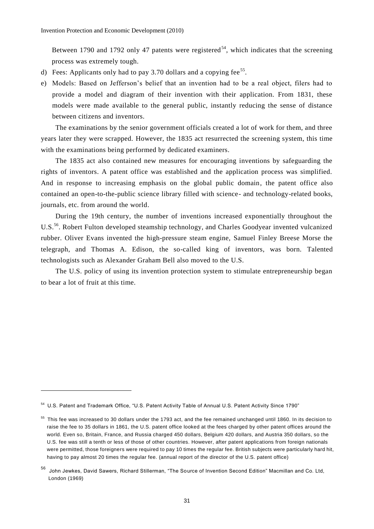Between 1790 and 1792 only 47 patents were registered<sup>54</sup>, which indicates that the screening process was extremely tough.

- d) Fees: Applicants only had to pay 3.70 dollars and a copying fee<sup>55</sup>.
- e) Models: Based on Jefferson's belief that an invention had to be a real object, filers had to provide a model and diagram of their invention with their application. From 1831, these models were made available to the general public, instantly reducing the sense of distance between citizens and inventors.

The examinations by the senior government officials created a lot of work for them, and three years later they were scrapped. However, the 1835 act resurrected the screening system, this time with the examinations being performed by dedicated examiners.

The 1835 act also contained new measures for encouraging inventions by safeguarding the rights of inventors. A patent office was established and the application process was simplified. And in response to increasing emphasis on the global public domain, the patent office also contained an open-to-the-public science library filled with science- and technology-related books, journals, etc. from around the world.

During the 19th century, the number of inventions increased exponentially throughout the U.S.<sup>56</sup>. Robert Fulton developed steamship technology, and Charles Goodyear invented vulcanized rubber. Oliver Evans invented the high-pressure steam engine, Samuel Finley Breese Morse the telegraph, and Thomas A. Edison, the so-called king of inventors, was born. Talented technologists such as Alexander Graham Bell also moved to the U.S.

The U.S. policy of using its invention protection system to stimulate entrepreneurship began to bear a lot of fruit at this time.

<sup>54</sup> U.S. Patent and Trademark Office, "U.S. Patent Activity Table of Annual U.S. Patent Activity Since 1790"

<sup>&</sup>lt;sup>55</sup> This fee was increased to 30 dollars under the 1793 act, and the fee remained unchanged until 1860. In its decision to raise the fee to 35 dollars in 1861, the U.S. patent office looked at the fees charged by other patent offices around the world. Even so, Britain, France, and Russia charged 450 dollars, Belgium 420 dollars, and Austria 350 dollars, so the U.S. fee was still a tenth or less of those of other countries. However, after patent applications from foreign nationals were permitted, those foreigners were required to pay 10 times the regular fee. British subjects were particularly hard hit, having to pay almost 20 times the regular fee. (annual report of the director of the U.S. patent office)

<sup>56</sup> John Jewkes, David Sawers, Richard Stillerman, "The Source of Invention Second Edition" Macmillan and Co. Ltd, London (1969)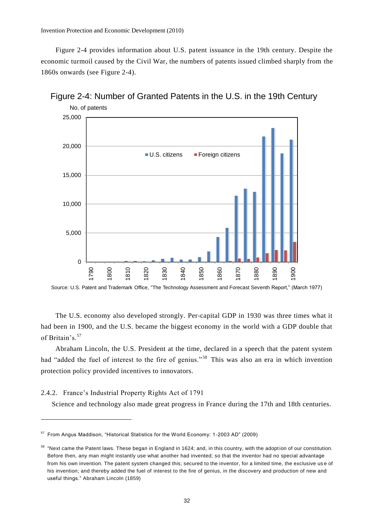Invention Protection and Economic Development (2010)

Figure 2-4 provides information about U.S. patent issuance in the 19th century. Despite the economic turmoil caused by the Civil War, the numbers of patents issued climbed sharply from the 1860s onwards (see Figure 2-4).





Source: U.S. Patent and Trademark Office, "The Technology Assessment and Forecast Seventh Report," (March 1977)

The U.S. economy also developed strongly. Per-capital GDP in 1930 was three times what it had been in 1900, and the U.S. became the biggest economy in the world with a GDP double that of Britain's.<sup>57</sup>

Abraham Lincoln, the U.S. President at the time, declared in a speech that the patent system had "added the fuel of interest to the fire of genius."<sup>58</sup> This was also an era in which invention protection policy provided incentives to innovators.

## 2.4.2. France's Industrial Property Rights Act of 1791

 $\overline{a}$ 

Science and technology also made great progress in France during the 17th and 18th centuries.

<sup>57</sup> From Angus Maddison, "Historical Statistics for the World Economy: 1-2003 AD" (2009)

 $58$  "Next came the Patent laws. These began in England in 1624; and, in this country, with the adoption of our constitution. Before then, any man might instantly use what another had invented; so that the inventor had no special advantage from his own invention. The patent system changed this; secured to the inventor, for a limited time, the exclusive us e of his invention; and thereby added the fuel of interest to the fire of genius, in the discovery and production of new and useful things." Abraham Lincoln (1859)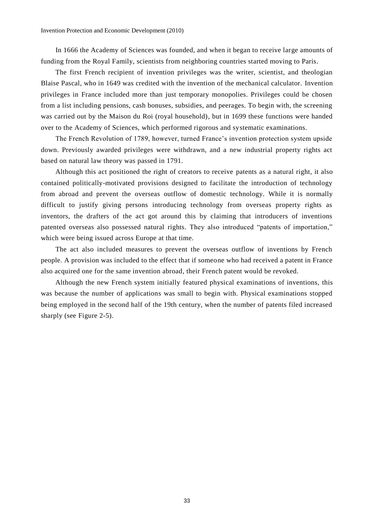In 1666 the Academy of Sciences was founded, and when it began to receive large amounts of funding from the Royal Family, scientists from neighboring countries started moving to Paris.

The first French recipient of invention privileges was the writer, scientist, and theologian Blaise Pascal, who in 1649 was credited with the invention of the mechanical calculator. Invention privileges in France included more than just temporary monopolies. Privileges could be chosen from a list including pensions, cash bonuses, subsidies, and peerages. To begin with, the screening was carried out by the Maison du Roi (royal household), but in 1699 these functions were handed over to the Academy of Sciences, which performed rigorous and systematic examinations.

The French Revolution of 1789, however, turned France's invention protection system upside down. Previously awarded privileges were withdrawn, and a new industrial property rights act based on natural law theory was passed in 1791.

Although this act positioned the right of creators to receive patents as a natural right, it also contained politically-motivated provisions designed to facilitate the introduction of technology from abroad and prevent the overseas outflow of domestic technology. While it is normally difficult to justify giving persons introducing technology from overseas property rights as inventors, the drafters of the act got around this by claiming that introducers of inventions patented overseas also possessed natural rights. They also introduced "patents of importation," which were being issued across Europe at that time.

The act also included measures to prevent the overseas outflow of inventions by French people. A provision was included to the effect that if someone who had received a patent in France also acquired one for the same invention abroad, their French patent would be revoked.

Although the new French system initially featured physical examinations of inventions, this was because the number of applications was small to begin with. Physical examinations stopped being employed in the second half of the 19th century, when the number of patents filed increased sharply (see Figure 2-5).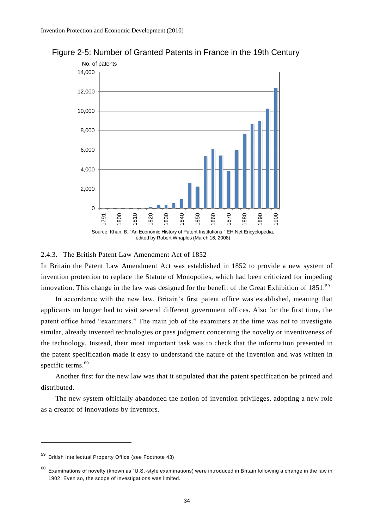

Figure 2-5: Number of Granted Patents in France in the 19th Century

#### 2.4.3. The British Patent Law Amendment Act of 1852

In Britain the Patent Law Amendment Act was established in 1852 to provide a new system of invention protection to replace the Statute of Monopolies, which had been criticized for impeding innovation. This change in the law was designed for the benefit of the Great Exhibition of 1851.<sup>59</sup>

In accordance with the new law, Britain's first patent office was established, meaning that applicants no longer had to visit several different government offices. Also for the first time, the patent office hired "examiners." The main job of the examiners at the time was not to investigate similar, already invented technologies or pass judgment concerning the novelty or inventiveness of the technology. Instead, their most important task was to check that the information presented in the patent specification made it easy to understand the nature of the invention and was written in specific terms.<sup>60</sup>

Another first for the new law was that it stipulated that the patent specification be printed and distributed.

The new system officially abandoned the notion of invention privileges, adopting a new role as a creator of innovations by inventors.

<sup>59</sup> British Intellectual Property Office (see Footnote 43)

 $60$  Examinations of novelty (known as "U.S.-style examinations) were introduced in Britain following a change in the law in 1902. Even so, the scope of investigations was limited.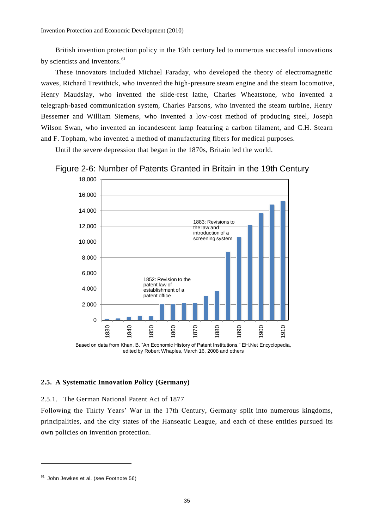British invention protection policy in the 19th century led to numerous successful innovations by scientists and inventors.<sup>61</sup>

These innovators included Michael Faraday, who developed the theory of electromagnetic waves, Richard Trevithick, who invented the high-pressure steam engine and the steam locomotive, Henry Maudslay, who invented the slide-rest lathe, Charles Wheatstone, who invented a telegraph-based communication system, Charles Parsons, who invented the steam turbine, Henry Bessemer and William Siemens, who invented a low-cost method of producing steel, Joseph Wilson Swan, who invented an incandescent lamp featuring a carbon filament, and C.H. Stearn and F. Topham, who invented a method of manufacturing fibers for medical purposes.

Until the severe depression that began in the 1870s, Britain led the world.





Based on data from Khan, B. "An Economic History of Patent Institutions," EH.Net Encyclopedia, edited by Robert Whaples, March 16, 2008 and others

## **2.5. A Systematic Innovation Policy (Germany)**

## 2.5.1. The German National Patent Act of 1877

Following the Thirty Years' War in the 17th Century, Germany split into numerous kingdoms, principalities, and the city states of the Hanseatic League, and each of these entities pursued its own policies on invention protection.

<sup>&</sup>lt;sup>61</sup> John Jewkes et al. (see Footnote 56)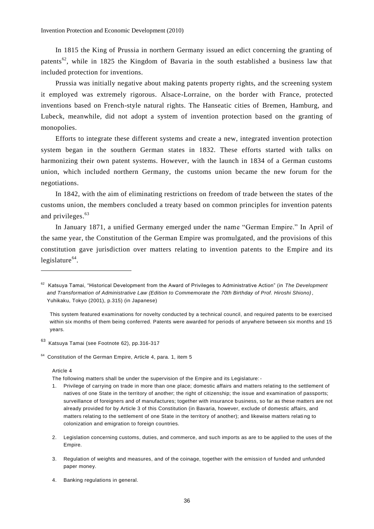In 1815 the King of Prussia in northern Germany issued an edict concerning the granting of patents<sup>62</sup>, while in 1825 the Kingdom of Bavaria in the south established a business law that included protection for inventions.

Prussia was initially negative about making patents property rights, and the screening system it employed was extremely rigorous. Alsace-Lorraine, on the border with France, protected inventions based on French-style natural rights. The Hanseatic cities of Bremen, Hamburg, and Lubeck, meanwhile, did not adopt a system of invention protection based on the granting of monopolies.

Efforts to integrate these different systems and create a new, integrated invention protection system began in the southern German states in 1832. These efforts started with talks on harmonizing their own patent systems. However, with the launch in 1834 of a German customs union, which included northern Germany, the customs union became the new forum for the negotiations.

In 1842, with the aim of eliminating restrictions on freedom of trade between the states of the customs union, the members concluded a treaty based on common principles for invention patents and privileges. 63

In January 1871, a unified Germany emerged under the name "German Empire." In April of the same year, the Constitution of the German Empire was promulgated, and the provisions of this constitution gave jurisdiction over matters relating to invention patents to the Empire and its legislature<sup>64</sup>.

<sup>63</sup> Katsuya Tamai (see Footnote 62), pp.316-317

#### Article 4

 $\overline{a}$ 

The following matters shall be under the supervision of the Empire and its Legislature:-

- 1. Privilege of carrying on trade in more than one place; domestic affairs and matters relating to the settlement of natives of one State in the territory of another; the right of citizenship; the issue and examination of passports; surveillance of foreigners and of manufactures; together with insurance business, so far as these matters are not already provided for by Article 3 of this Constitution (in Bavaria, however, exclude of domestic affairs, and matters relating to the settlement of one State in the territory of another); and likewise matters relating to colonization and emigration to foreign countries.
- 2. Legislation concerning customs, duties, and commerce, and such imports as are to be applied to the uses of the Empire.
- 3. Regulation of weights and measures, and of the coinage, together with the emissio n of funded and unfunded paper money.
- 4. Banking regulations in general.

<sup>62</sup> Katsuya Tamai, "Historical Development from the Award of Privileges to Administrative Action" (in *The Development and Transformation of Administrative Law (Edition to Commemorate the 70th Birthday of Prof. Hiroshi Shiono)*, Yuhikaku, Tokyo (2001), p.315) (in Japanese)

This system featured examinations for novelty conducted by a technical council, and required patents to be exercised within six months of them being conferred. Patents were awarded for periods of anywhere between six months and 15 years.

<sup>&</sup>lt;sup>64</sup> Constitution of the German Empire, Article 4, para. 1, item 5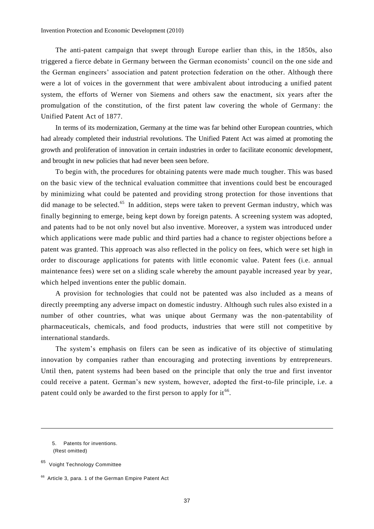The anti-patent campaign that swept through Europe earlier than this, in the 1850s, also triggered a fierce debate in Germany between the German economists' council on the one side and the German engineers' association and patent protection federation on the other. Although there were a lot of voices in the government that were ambivalent about introducing a unified patent system, the efforts of Werner von Siemens and others saw the enactment, six years after the promulgation of the constitution, of the first patent law covering the whole of Germany: the Unified Patent Act of 1877.

In terms of its modernization, Germany at the time was far behind other European countries, which had already completed their industrial revolutions. The Unified Patent Act was aimed at promoting the growth and proliferation of innovation in certain industries in order to facilitate economic development, and brought in new policies that had never been seen before.

To begin with, the procedures for obtaining patents were made much tougher. This was based on the basic view of the technical evaluation committee that inventions could best be encouraged by minimizing what could be patented and providing strong protection for those inventions that did manage to be selected.<sup>65</sup> In addition, steps were taken to prevent German industry, which was finally beginning to emerge, being kept down by foreign patents. A screening system was adopted, and patents had to be not only novel but also inventive. Moreover, a system was introduced under which applications were made public and third parties had a chance to register objections before a patent was granted. This approach was also reflected in the policy on fees, which were set high in order to discourage applications for patents with little economic value. Patent fees (i.e. annual maintenance fees) were set on a sliding scale whereby the amount payable increased year by year, which helped inventions enter the public domain.

A provision for technologies that could not be patented was also included as a means of directly preempting any adverse impact on domestic industry. Although such rules also existed in a number of other countries, what was unique about Germany was the non-patentability of pharmaceuticals, chemicals, and food products, industries that were still not competitive by international standards.

The system's emphasis on filers can be seen as indicative of its objective of stimulating innovation by companies rather than encouraging and protecting inventions by entrepreneurs. Until then, patent systems had been based on the principle that only the true and first inventor could receive a patent. German's new system, however, adopted the first-to-file principle, i.e. a patent could only be awarded to the first person to apply for it<sup>66</sup>.

1

<sup>5.</sup> Patents for inventions. (Rest omitted)

<sup>&</sup>lt;sup>65</sup> Voight Technology Committee

<sup>&</sup>lt;sup>66</sup> Article 3, para. 1 of the German Empire Patent Act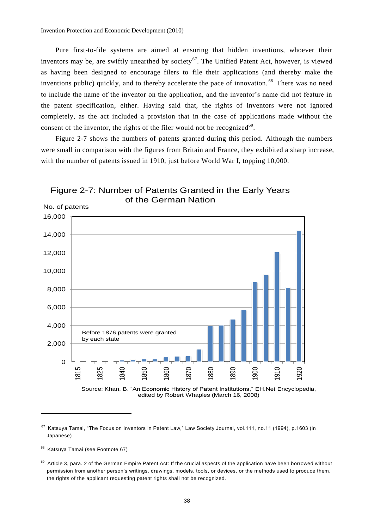Pure first-to-file systems are aimed at ensuring that hidden inventions, whoever their inventors may be, are swiftly unearthed by society<sup>67</sup>. The Unified Patent Act, however, is viewed as having been designed to encourage filers to file their applications (and thereby make the inventions public) quickly, and to thereby accelerate the pace of innovation.<sup>68</sup> There was no need to include the name of the inventor on the application, and the inventor's name did not feature in the patent specification, either. Having said that, the rights of inventors were not ignored completely, as the act included a provision that in the case of applications made without the consent of the inventor, the rights of the filer would not be recognized $69$ .

Figure 2-7 shows the numbers of patents granted during this period. Although the numbers were small in comparison with the figures from Britain and France, they exhibited a sharp increase, with the number of patents issued in 1910, just before World War I, topping 10,000.



Figure 2-7: Number of Patents Granted in the Early Years of the German Nation

Source: Khan, B. "An Economic History of Patent Institutions," EH.Net Encyclopedia, edited by Robert Whaples (March 16, 2008)

<sup>&</sup>lt;sup>67</sup> Katsuya Tamai, "The Focus on Inventors in Patent Law," Law Society Journal, vol.111, no.11 (1994), p.1603 (in Japanese)

<sup>&</sup>lt;sup>68</sup> Katsuya Tamai (see Footnote 67)

<sup>&</sup>lt;sup>69</sup> Article 3, para. 2 of the German Empire Patent Act: If the crucial aspects of the application have been borrowed without permission from another person's writings, drawings, models, tools, or devices, or the methods used to produce them, the rights of the applicant requesting patent rights shall not be recognized.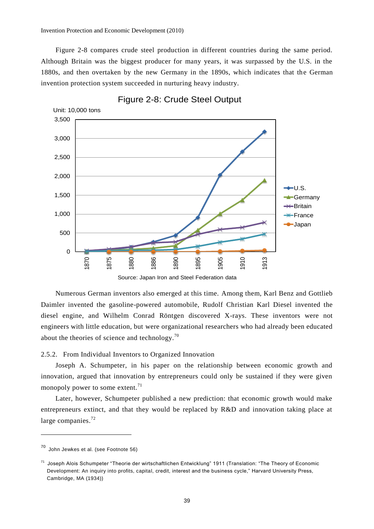Figure 2-8 compares crude steel production in different countries during the same period. Although Britain was the biggest producer for many years, it was surpassed by the U.S. in the 1880s, and then overtaken by the new Germany in the 1890s, which indicates that the German invention protection system succeeded in nurturing heavy industry.



Figure 2-8: Crude Steel Output

Source: Japan Iron and Steel Federation data

Numerous German inventors also emerged at this time. Among them, Karl Benz and Gottlieb Daimler invented the gasoline-powered automobile, Rudolf Christian Karl Diesel invented the diesel engine, and Wilhelm Conrad Röntgen discovered X-rays. These inventors were not engineers with little education, but were organizational researchers who had already been educated about the theories of science and technology.<sup>70</sup>

2.5.2. From Individual Inventors to Organized Innovation

Joseph A. Schumpeter, in his paper on the relationship between economic growth and innovation, argued that innovation by entrepreneurs could only be sustained if they were given monopoly power to some extent. $71$ 

Later, however, Schumpeter published a new prediction: that economic growth would make entrepreneurs extinct, and that they would be replaced by R&D and innovation taking place at large companies. $^{72}$ 

<sup>70</sup> John Jewkes et al. (see Footnote 56)

<sup>71</sup> Joseph Alois Schumpeter "Theorie der wirtschaftlichen Entwicklung" 1911 (Translation: "The Theory of Economic Development: An inquiry into profits, capital, credit, interest and the business cycle," Harvard University Press, Cambridge, MA (1934))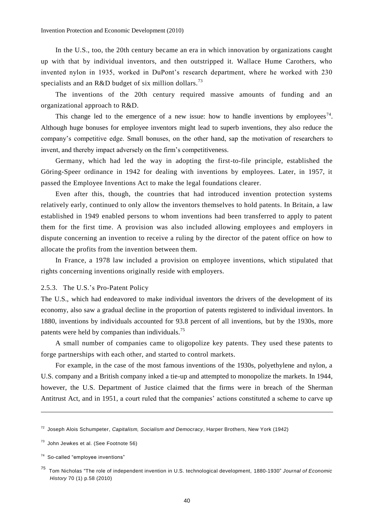In the U.S., too, the 20th century became an era in which innovation by organizations caught up with that by individual inventors, and then outstripped it. Wallace Hume Carothers, who invented nylon in 1935, worked in DuPont's research department, where he worked with 230 specialists and an R&D budget of six million dollars.<sup>73</sup>

The inventions of the 20th century required massive amounts of funding and an organizational approach to R&D.

This change led to the emergence of a new issue: how to handle inventions by employees<sup>74</sup>. Although huge bonuses for employee inventors might lead to superb inventions, they also reduce the company's competitive edge. Small bonuses, on the other hand, sap the motivation of researchers to invent, and thereby impact adversely on the firm's competitiveness.

Germany, which had led the way in adopting the first-to-file principle, established the Göring-Speer ordinance in 1942 for dealing with inventions by employees. Later, in 1957, it passed the Employee Inventions Act to make the legal foundations clearer.

Even after this, though, the countries that had introduced invention protection systems relatively early, continued to only allow the inventors themselves to hold patents. In Britain, a law established in 1949 enabled persons to whom inventions had been transferred to apply to patent them for the first time. A provision was also included allowing employees and employers in dispute concerning an invention to receive a ruling by the director of the patent office on how to allocate the profits from the invention between them.

In France, a 1978 law included a provision on employee inventions, which stipulated that rights concerning inventions originally reside with employers.

## 2.5.3. The U.S.'s Pro-Patent Policy

The U.S., which had endeavored to make individual inventors the drivers of the development of its economy, also saw a gradual decline in the proportion of patents registered to individual inventors. In 1880, inventions by individuals accounted for 93.8 percent of all inventions, but by the 1930s, more patents were held by companies than individuals.<sup>75</sup>

A small number of companies came to oligopolize key patents. They used these patents to forge partnerships with each other, and started to control markets.

For example, in the case of the most famous inventions of the 1930s, polyethylene and nylon, a U.S. company and a British company inked a tie-up and attempted to monopolize the markets. In 1944, however, the U.S. Department of Justice claimed that the firms were in breach of the Sherman Antitrust Act, and in 1951, a court ruled that the companies' actions constituted a scheme to carve up

<sup>72</sup> Joseph Alois Schumpeter, *Capitalism, Socialism and Democracy*, Harper Brothers, New York (1942)

 $73$  John Jewkes et al. (See Footnote 56)

<sup>&</sup>lt;sup>74</sup> So-called "employee inventions"

<sup>75</sup> Tom Nicholas "The role of independent invention in U.S. technological development, 1880-1930" *Journal of Economic History* 70 (1) p.58 (2010)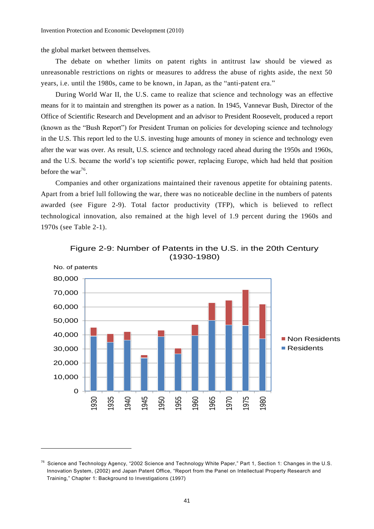the global market between themselves.

The debate on whether limits on patent rights in antitrust law should be viewed as unreasonable restrictions on rights or measures to address the abuse of rights aside, the next 50 years, i.e. until the 1980s, came to be known, in Japan, as the "anti-patent era."

During World War II, the U.S. came to realize that science and technology was an effective means for it to maintain and strengthen its power as a nation. In 1945, Vannevar Bush, Director of the Office of Scientific Research and Development and an advisor to President Roosevelt, produced a report (known as the "Bush Report") for President Truman on policies for developing science and technology in the U.S. This report led to the U.S. investing huge amounts of money in science and technology even after the war was over. As result, U.S. science and technology raced ahead during the 1950s and 1960s, and the U.S. became the world's top scientific power, replacing Europe, which had held that position before the war<sup>76</sup>.

Companies and other organizations maintained their ravenous appetite for obtaining patents. Apart from a brief lull following the war, there was no noticeable decline in the numbers of patents awarded (see Figure 2-9). Total factor productivity (TFP), which is believed to reflect technological innovation, also remained at the high level of 1.9 percent during the 1960s and 1970s (see Table 2-1).



Figure 2-9: Number of Patents in the U.S. in the 20th Century (1930-1980)

<sup>&</sup>lt;sup>76</sup> Science and Technology Agency, "2002 Science and Technology White Paper," Part 1, Section 1: Changes in the U.S. Innovation System, (2002) and Japan Patent Office, "Report from the Panel on Intellectual Property Research and Training," Chapter 1: Background to Investigations (1997)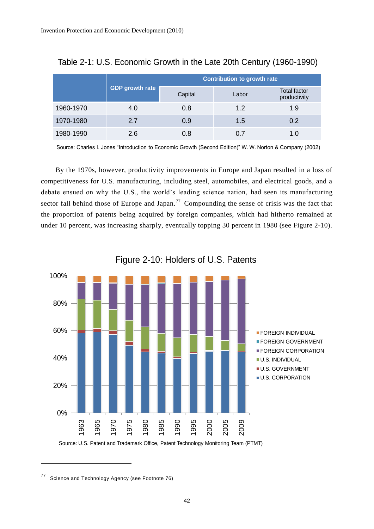|           |                 | Contribution to growth rate |       |                                     |  |  |
|-----------|-----------------|-----------------------------|-------|-------------------------------------|--|--|
|           | GDP growth rate | Capital                     | Labor | <b>Total factor</b><br>productivity |  |  |
| 1960-1970 | 4.0             | 0.8                         | 1.2   | 1.9                                 |  |  |
| 1970-1980 | 2.7             | 0.9                         | 1.5   | 0.2                                 |  |  |
| 1980-1990 | 2.6             | 0.8                         | 0.7   |                                     |  |  |

Table 2-1: U.S. Economic Growth in the Late 20th Century (1960-1990)

Source: Charles I. Jones "Introduction to Economic Growth (Second Edition)" W. W. Norton & Company (2002)

By the 1970s, however, productivity improvements in Europe and Japan resulted in a loss of competitiveness for U.S. manufacturing, including steel, automobiles, and electrical goods, and a debate ensued on why the U.S., the world's leading science nation, had seen its manufacturing sector fall behind those of Europe and Japan.<sup>77</sup> Compounding the sense of crisis was the fact that the proportion of patents being acquired by foreign companies, which had hitherto remained at under 10 percent, was increasing sharply, eventually topping 30 percent in 1980 (see Figure 2-10).



Figure 2-10: Holders of U.S. Patents

<sup>77</sup> Science and Technology Agency (see Footnote 76)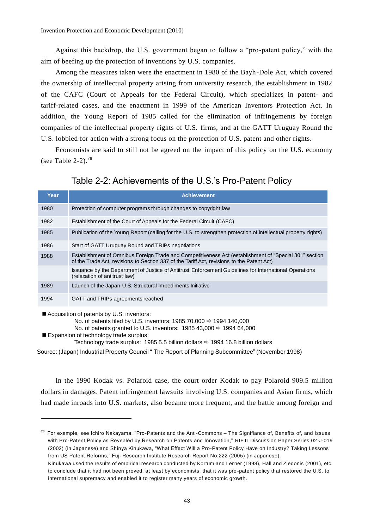Against this backdrop, the U.S. government began to follow a "pro-patent policy," with the aim of beefing up the protection of inventions by U.S. companies.

Among the measures taken were the enactment in 1980 of the Bayh-Dole Act, which covered the ownership of intellectual property arising from university research, the establishment in 1982 of the CAFC (Court of Appeals for the Federal Circuit), which specializes in patent- and tariff-related cases, and the enactment in 1999 of the American Inventors Protection Act. In addition, the Young Report of 1985 called for the elimination of infringements by foreign companies of the intellectual property rights of U.S. firms, and at the GATT Uruguay Round the U.S. lobbied for action with a strong focus on the protection of U.S. patent and other rights.

Economists are said to still not be agreed on the impact of this policy on the U.S. economy (see Table 2-2). $^{78}$ 

## Table 2-2: Achievements of the U.S.'s Pro-Patent Policy

| Year | <b>Achievement</b>                                                                                                                                                                                   |
|------|------------------------------------------------------------------------------------------------------------------------------------------------------------------------------------------------------|
| 1980 | Protection of computer programs through changes to copyright law                                                                                                                                     |
| 1982 | Establishment of the Court of Appeals for the Federal Circuit (CAFC)                                                                                                                                 |
| 1985 | Publication of the Young Report (calling for the U.S. to strengthen protection of intellectual property rights)                                                                                      |
| 1986 | Start of GATT Uruguay Round and TRIPs negotiations                                                                                                                                                   |
| 1988 | Establishment of Omnibus Foreign Trade and Competitiveness Act (establishment of "Special 301" section<br>of the Trade Act, revisions to Section 337 of the Tariff Act, revisions to the Patent Act) |
|      | Issuance by the Department of Justice of Antitrust Enforcement Guidelines for International Operations<br>(relaxation of antitrust law)                                                              |
| 1989 | Launch of the Japan-U.S. Structural Impediments Initiative                                                                                                                                           |
| 1994 | GATT and TRIPs agreements reached                                                                                                                                                                    |

Acquisition of patents by U.S. inventors:

No. of patents filed by U.S. inventors: 1985 70,000  $\Rightarrow$  1994 140,000

No. of patents granted to U.S. inventors:  $198543,000 \Rightarrow 199464,000$ 

Expansion of technology trade surplus:

Technology trade surplus: 1985 5.5 billion dollars  $\Rightarrow$  1994 16.8 billion dollars

Source: (Japan) Industrial Property Council " The Report of Planning Subcommittee" (November 1998)

In the 1990 Kodak vs. Polaroid case, the court order Kodak to pay Polaroid 909.5 million dollars in damages. Patent infringement lawsuits involving U.S. companies and Asian firms, which had made inroads into U.S. markets, also became more frequent, and the battle among foreign and

 $78$  For example, see Ichiro Nakayama, "Pro-Patents and the Anti-Commons  $-$  The Signifiance of, Benefits of, and Issues with Pro-Patent Policy as Revealed by Research on Patents and Innovation," RIETI Discussion Paper Series 02-J-019 (2002) (in Japanese) and Shinya Kinukawa, "What Effect Will a Pro-Patent Policy Have on Industry? Taking Lessons from US Patent Reforms," Fuji Research Institute Research Report No.222 (2005) (in Japanese).

Kinukawa used the results of empirical research conducted by Kortum and Lerner (1998), Hall and Ziedonis (2001), etc. to conclude that it had not been proved, at least by economists, that it was pro -patent policy that restored the U.S. to international supremacy and enabled it to register many years of economic growth.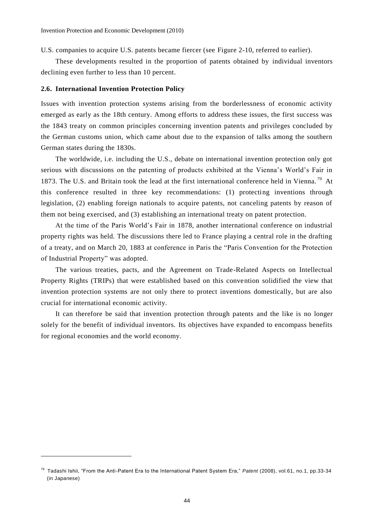U.S. companies to acquire U.S. patents became fiercer (see Figure 2-10, referred to earlier).

These developments resulted in the proportion of patents obtained by individual inventors declining even further to less than 10 percent.

## **2.6. International Invention Protection Policy**

 $\overline{a}$ 

Issues with invention protection systems arising from the borderlessness of economic activity emerged as early as the 18th century. Among efforts to address these issues, the first success was the 1843 treaty on common principles concerning invention patents and privileges concluded by the German customs union, which came about due to the expansion of talks among the southern German states during the 1830s.

The worldwide, i.e. including the U.S., debate on international invention protection only got serious with discussions on the patenting of products exhibited at the Vienna's World's Fair in 1873. The U.S. and Britain took the lead at the first international conference held in Vienna.<sup>79</sup> At this conference resulted in three key recommendations: (1) protecting inventions through legislation, (2) enabling foreign nationals to acquire patents, not canceling patents by reason of them not being exercised, and (3) establishing an international treaty on patent protection.

At the time of the Paris World's Fair in 1878, another international conference on industrial property rights was held. The discussions there led to France playing a central role in the drafting of a treaty, and on March 20, 1883 at conference in Paris the "Paris Convention for the Protection of Industrial Property" was adopted.

The various treaties, pacts, and the Agreement on Trade-Related Aspects on Intellectual Property Rights (TRIPs) that were established based on this convention solidified the view that invention protection systems are not only there to protect inventions domestically, but are also crucial for international economic activity.

It can therefore be said that invention protection through patents and the like is no longer solely for the benefit of individual inventors. Its objectives have expanded to encompass benefits for regional economies and the world economy.

<sup>79</sup> Tadashi Ishii, "From the Anti-Patent Era to the International Patent System Era," *Patent* (2008), vol.61, no.1, pp.33-34 (in Japanese)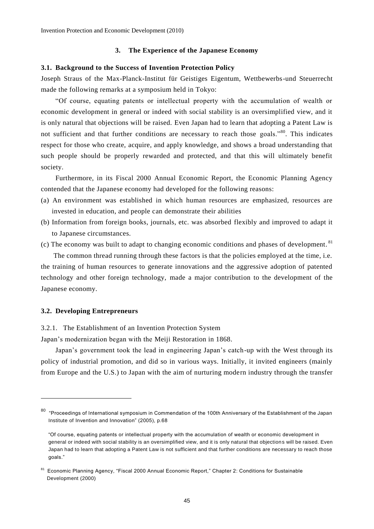## **3. The Experience of the Japanese Economy**

## **3.1. Background to the Success of Invention Protection Policy**

Joseph Straus of the Max-Planck-Institut für Geistiges Eigentum, Wettbewerbs-und Steuerrecht made the following remarks at a symposium held in Tokyo:

"Of course, equating patents or intellectual property with the accumulation of wealth or economic development in general or indeed with social stability is an oversimplified view, and it is only natural that objections will be raised. Even Japan had to learn that adopting a Patent Law is not sufficient and that further conditions are necessary to reach those goals."<sup>80</sup>. This indicates respect for those who create, acquire, and apply knowledge, and shows a broad understanding that such people should be properly rewarded and protected, and that this will ultimately benefit society.

Furthermore, in its Fiscal 2000 Annual Economic Report, the Economic Planning Agency contended that the Japanese economy had developed for the following reasons:

- (a) An environment was established in which human resources are emphasized, resources are invested in education, and people can demonstrate their abilities
- (b) Information from foreign books, journals, etc. was absorbed flexibly and improved to adapt it to Japanese circumstances.
- (c) The economy was built to adapt to changing economic conditions and phases of development. <sup>81</sup>

The common thread running through these factors is that the policies employed at the time, i.e. the training of human resources to generate innovations and the aggressive adoption of patented technology and other foreign technology, made a major contribution to the development of the Japanese economy.

## **3.2. Developing Entrepreneurs**

 $\overline{a}$ 

3.2.1. The Establishment of an Invention Protection System

Japan's modernization began with the Meiji Restoration in 1868.

Japan's government took the lead in engineering Japan's catch-up with the West through its policy of industrial promotion, and did so in various ways. Initially, it invited engineers (mainly from Europe and the U.S.) to Japan with the aim of nurturing modern industry through the transfer

<sup>&</sup>lt;sup>80</sup> "Proceedings of International symposium in Commendation of the 100th Anniversary of the Establishment of the Japan Institute of Invention and Innovation" (2005), p.68

<sup>&</sup>quot;Of course, equating patents or intellectual property with the accumulation of wealth or economic development in general or indeed with social stability is an oversimplified view, and it is only natural that objections will be raised. Even Japan had to learn that adopting a Patent Law is not sufficient and that further conditions are necessary to reach those goals."

<sup>&</sup>lt;sup>81</sup> Economic Planning Agency, "Fiscal 2000 Annual Economic Report," Chapter 2: Conditions for Sustainable Development (2000)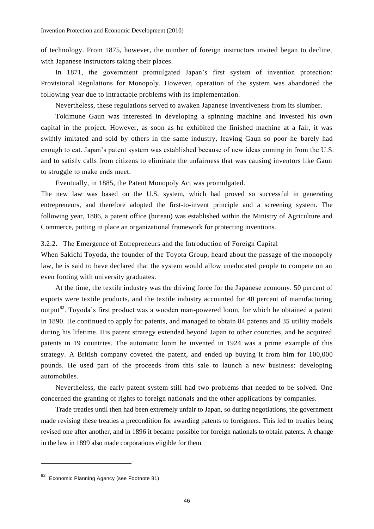of technology. From 1875, however, the number of foreign instructors invited began to decline, with Japanese instructors taking their places.

In 1871, the government promulgated Japan's first system of invention protection: Provisional Regulations for Monopoly. However, operation of the system was abandoned the following year due to intractable problems with its implementation.

Nevertheless, these regulations served to awaken Japanese inventiveness from its slumber.

Tokimune Gaun was interested in developing a spinning machine and invested his own capital in the project. However, as soon as he exhibited the finished machine at a fair, it was swiftly imitated and sold by others in the same industry, leaving Gaun so poor he barely had enough to eat. Japan's patent system was established because of new ideas coming in from the U.S. and to satisfy calls from citizens to eliminate the unfairness that was causing inventors like Gaun to struggle to make ends meet.

Eventually, in 1885, the Patent Monopoly Act was promulgated.

The new law was based on the U.S. system, which had proved so successful in generating entrepreneurs, and therefore adopted the first-to-invent principle and a screening system. The following year, 1886, a patent office (bureau) was established within the Ministry of Agriculture and Commerce, putting in place an organizational framework for protecting inventions.

3.2.2. The Emergence of Entrepreneurs and the Introduction of Foreign Capital

When Sakichi Toyoda, the founder of the Toyota Group, heard about the passage of the monopoly law, he is said to have declared that the system would allow uneducated people to compete on an even footing with university graduates.

At the time, the textile industry was the driving force for the Japanese economy. 50 percent of exports were textile products, and the textile industry accounted for 40 percent of manufacturing output<sup>82</sup>. Toyoda's first product was a wooden man-powered loom, for which he obtained a patent in 1890. He continued to apply for patents, and managed to obtain 84 patents and 35 utility models during his lifetime. His patent strategy extended beyond Japan to other countries, and he acquired patents in 19 countries. The automatic loom he invented in 1924 was a prime example of this strategy. A British company coveted the patent, and ended up buying it from him for 100,000 pounds. He used part of the proceeds from this sale to launch a new business: developing automobiles.

Nevertheless, the early patent system still had two problems that needed to be solved. One concerned the granting of rights to foreign nationals and the other applications by companies.

Trade treaties until then had been extremely unfair to Japan, so during negotiations, the government made revising these treaties a precondition for awarding patents to foreigners. This led to treaties being revised one after another, and in 1896 it became possible for foreign nationals to obtain patents. A change in the law in 1899 also made corporations eligible for them.

<sup>82</sup> Economic Planning Agency (see Footnote 81)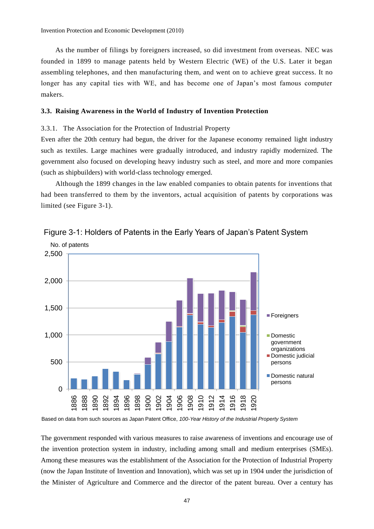As the number of filings by foreigners increased, so did investment from overseas. NEC was founded in 1899 to manage patents held by Western Electric (WE) of the U.S. Later it began assembling telephones, and then manufacturing them, and went on to achieve great success. It no longer has any capital ties with WE, and has become one of Japan's most famous computer makers.

#### **3.3. Raising Awareness in the World of Industry of Invention Protection**

#### 3.3.1. The Association for the Protection of Industrial Property

Even after the 20th century had begun, the driver for the Japanese economy remained light industry such as textiles. Large machines were gradually introduced, and industry rapidly modernized. The government also focused on developing heavy industry such as steel, and more and more companies (such as shipbuilders) with world-class technology emerged.

Although the 1899 changes in the law enabled companies to obtain patents for inventions that had been transferred to them by the inventors, actual acquisition of patents by corporations was limited (see Figure 3-1).



Figure 3-1: Holders of Patents in the Early Years of Japan's Patent System

Based on data from such sources as Japan Patent Office, *100-Year History of the Industrial Property System*

The government responded with various measures to raise awareness of inventions and encourage use of the invention protection system in industry, including among small and medium enterprises (SMEs). Among these measures was the establishment of the Association for the Protection of Industrial Property (now the Japan Institute of Invention and Innovation), which was set up in 1904 under the jurisdiction of the Minister of Agriculture and Commerce and the director of the patent bureau. Over a century has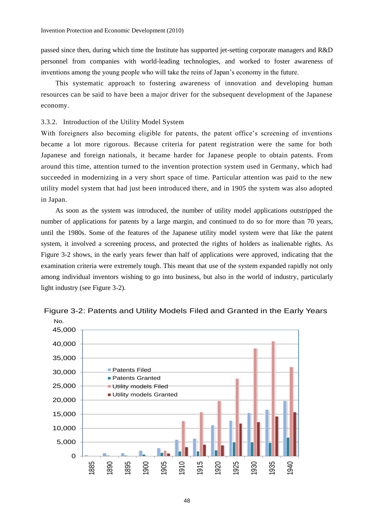passed since then, during which time the Institute has supported jet-setting corporate managers and R&D personnel from companies with world-leading technologies, and worked to foster awareness of inventions among the young people who will take the reins of Japan's economy in the future.

This systematic approach to fostering awareness of innovation and developing human resources can be said to have been a major driver for the subsequent development of the Japanese economy.

3.3.2. Introduction of the Utility Model System

With foreigners also becoming eligible for patents, the patent office's screening of inventions became a lot more rigorous. Because criteria for patent registration were the same for both Japanese and foreign nationals, it became harder for Japanese people to obtain patents. From around this time, attention turned to the invention protection system used in Germany, which had succeeded in modernizing in a very short space of time. Particular attention was paid to the new utility model system that had just been introduced there, and in 1905 the system was also adopted in Japan.

As soon as the system was introduced, the number of utility model applications outstripped the number of applications for patents by a large margin, and continued to do so for more than 70 years, until the 1980s. Some of the features of the Japanese utility model system were that like the patent system, it involved a screening process, and protected the rights of holders as inalienable rights. As Figure 3-2 shows, in the early years fewer than half of applications were approved, indicating that the examination criteria were extremely tough. This meant that use of the system expanded rapidly not only among individual inventors wishing to go into business, but also in the world of industry, particularly light industry (see Figure 3-2).



Figure 3-2: Patents and Utility Models Filed and Granted in the Early Years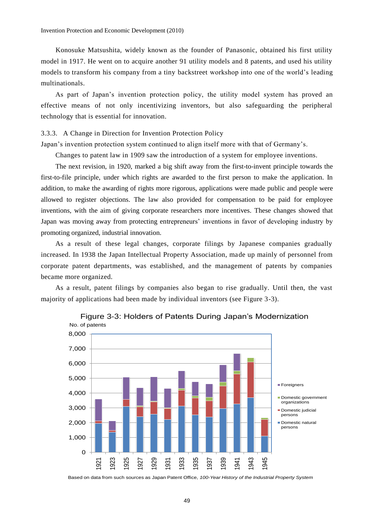Konosuke Matsushita, widely known as the founder of Panasonic, obtained his first utility model in 1917. He went on to acquire another 91 utility models and 8 patents, and used his utility models to transform his company from a tiny backstreet workshop into one of the world's leading multinationals.

As part of Japan's invention protection policy, the utility model system has proved an effective means of not only incentivizing inventors, but also safeguarding the peripheral technology that is essential for innovation.

3.3.3. A Change in Direction for Invention Protection Policy

Japan's invention protection system continued to align itself more with that of Germany's.

Changes to patent law in 1909 saw the introduction of a system for employee inventions.

The next revision, in 1920, marked a big shift away from the first-to-invent principle towards the first-to-file principle, under which rights are awarded to the first person to make the application. In addition, to make the awarding of rights more rigorous, applications were made public and people were allowed to register objections. The law also provided for compensation to be paid for employee inventions, with the aim of giving corporate researchers more incentives. These changes showed that Japan was moving away from protecting entrepreneurs' inventions in favor of developing industry by promoting organized, industrial innovation.

As a result of these legal changes, corporate filings by Japanese companies gradually increased. In 1938 the Japan Intellectual Property Association, made up mainly of personnel from corporate patent departments, was established, and the management of patents by companies became more organized.

As a result, patent filings by companies also began to rise gradually. Until then, the vast majority of applications had been made by individual inventors (see Figure 3-3).



Figure 3-3: Holders of Patents During Japan's Modernization

Based on data from such sources as Japan Patent Office, *100-Year History of the Industrial Property System*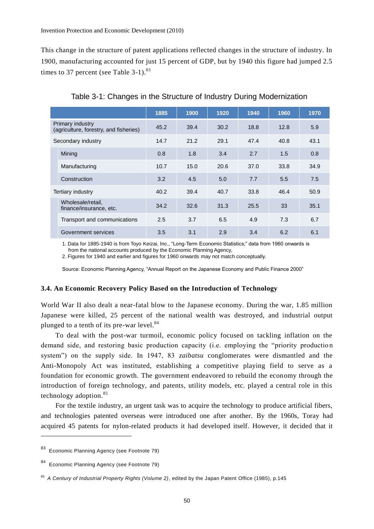This change in the structure of patent applications reflected changes in the structure of industry. In 1900, manufacturing accounted for just 15 percent of GDP, but by 1940 this figure had jumped 2.5 times to 37 percent (see Table  $3-1$ ).<sup>83</sup>

|                                                            |                                              | 1885 | 1900 | 1920 | 1940 | 1960 | 1970 |
|------------------------------------------------------------|----------------------------------------------|------|------|------|------|------|------|
| Primary industry<br>(agriculture, forestry, and fisheries) |                                              | 45.2 | 39.4 | 30.2 | 18.8 | 12.8 | 5.9  |
| Secondary industry                                         |                                              | 14.7 | 21.2 | 29.1 | 47.4 | 40.8 | 43.1 |
|                                                            | Mining                                       | 0.8  | 1.8  | 3.4  | 2.7  | 1.5  | 0.8  |
|                                                            | Manufacturing                                | 10.7 | 15.0 | 20.6 | 37.0 | 33.8 | 34.9 |
|                                                            | Construction                                 | 3.2  | 4.5  | 5.0  | 7.7  | 5.5  | 7.5  |
|                                                            | Tertiary industry                            | 40.2 | 39.4 | 40.7 | 33.8 | 46.4 | 50.9 |
|                                                            | Wholesale/retail,<br>finance/insurance, etc. | 34.2 | 32.6 | 31.3 | 25.5 | 33   | 35.1 |
|                                                            | Transport and communications                 | 2.5  | 3.7  | 6.5  | 4.9  | 7.3  | 6.7  |
|                                                            | Government services                          | 3.5  | 3.1  | 2.9  | 3.4  | 6.2  | 6.1  |

Table 3-1: Changes in the Structure of Industry During Modernization

1. Data for 1885-1940 is from Toyo Keizai, Inc., "Long-Term Economic Statistics;" data from 1960 onwards is from the national accounts produced by the Economic Planning Agency,

2. Figures for 1940 and earlier and figures for 1960 onwards may not match conceptually.

Source: Economic Planning Agency, "Annual Report on the Japanese Economy and Public Finance 2000"

## **3.4. An Economic Recovery Policy Based on the Introduction of Technology**

World War II also dealt a near-fatal blow to the Japanese economy. During the war, 1.85 million Japanese were killed, 25 percent of the national wealth was destroyed, and industrial output plunged to a tenth of its pre-war level. $84$ 

To deal with the post-war turmoil, economic policy focused on tackling inflation on the demand side, and restoring basic production capacity (i.e. employing the "priority production system") on the supply side. In 1947, 83 *zaibatsu* conglomerates were dismantled and the Anti-Monopoly Act was instituted, establishing a competitive playing field to serve as a foundation for economic growth. The government endeavored to rebuild the economy through the introduction of foreign technology, and patents, utility models, etc. played a central role in this technology adoption.<sup>85</sup>

For the textile industry, an urgent task was to acquire the technology to produce artificial fibers, and technologies patented overseas were introduced one after another. By the 1960s, Toray had acquired 45 patents for nylon-related products it had developed itself. However, it decided that it

<sup>83</sup> Economic Planning Agency (see Footnote 79)

<sup>84</sup> Economic Planning Agency (see Footnote 79)

<sup>85</sup> *A Century of Industrial Property Rights (Volume 2)*, edited by the Japan Patent Office (1985), p.145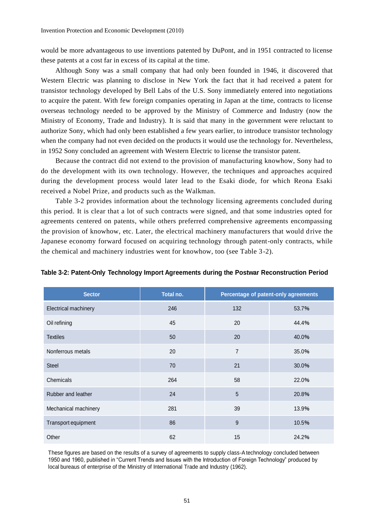would be more advantageous to use inventions patented by DuPont, and in 1951 contracted to license these patents at a cost far in excess of its capital at the time.

Although Sony was a small company that had only been founded in 1946, it discovered that Western Electric was planning to disclose in New York the fact that it had received a patent for transistor technology developed by Bell Labs of the U.S. Sony immediately entered into negotiations to acquire the patent. With few foreign companies operating in Japan at the time, contracts to license overseas technology needed to be approved by the Ministry of Commerce and Industry (now the Ministry of Economy, Trade and Industry). It is said that many in the government were reluctant to authorize Sony, which had only been established a few years earlier, to introduce transistor technology when the company had not even decided on the products it would use the technology for. Nevertheless, in 1952 Sony concluded an agreement with Western Electric to license the transistor patent.

Because the contract did not extend to the provision of manufacturing knowhow, Sony had to do the development with its own technology. However, the techniques and approaches acquired during the development process would later lead to the Esaki diode, for which Reona Esaki received a Nobel Prize, and products such as the Walkman.

Table 3-2 provides information about the technology licensing agreements concluded during this period. It is clear that a lot of such contracts were signed, and that some industries opted for agreements centered on patents, while others preferred comprehensive agreements encompassing the provision of knowhow, etc. Later, the electrical machinery manufacturers that would drive the Japanese economy forward focused on acquiring technology through patent-only contracts, while the chemical and machinery industries went for knowhow, too (see Table 3-2).

| <b>Sector</b>        | Total no. | Percentage of patent-only agreements |       |  |
|----------------------|-----------|--------------------------------------|-------|--|
| Electrical machinery | 246       | 132                                  | 53.7% |  |
| Oil refining         | 45        | 20                                   | 44.4% |  |
| <b>Textiles</b>      | 50        | 20                                   | 40.0% |  |
| Nonferrous metals    | 20        | $\overline{7}$                       | 35.0% |  |
| <b>Steel</b>         | 70        | 21                                   | 30.0% |  |
| Chemicals            | 264       | 58                                   | 22.0% |  |
| Rubber and leather   | 24        | $\overline{5}$                       | 20.8% |  |
| Mechanical machinery | 281       | 39                                   | 13.9% |  |
| Transport equipment  | 86        | $9\,$                                | 10.5% |  |
| Other                | 62        | 15                                   | 24.2% |  |

## **Table 3-2: Patent-Only Technology Import Agreements during the Postwar Reconstruction Period**

These figures are based on the results of a survey of agreements to supply class-A technology concluded between 1950 and 1960, published in "Current Trends and Issues with the Introduction of Foreign Technology" produced by local bureaus of enterprise of the Ministry of International Trade and Industry (1962).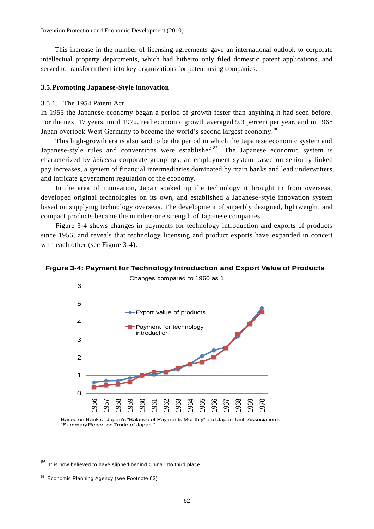This increase in the number of licensing agreements gave an international outlook to corporate intellectual property departments, which had hitherto only filed domestic patent applications, and served to transform them into key organizations for patent-using companies.

## **3.5.Promoting Japanese-Style innovation**

## 3.5.1. The 1954 Patent Act

In 1955 the Japanese economy began a period of growth faster than anything it had seen before. For the next 17 years, until 1972, real economic growth averaged 9.3 percent per year, and in 1968 Japan overtook West Germany to become the world's second largest economy.<sup>86</sup>

This high-growth era is also said to be the period in which the Japanese economic system and Japanese-style rules and conventions were established  $87$ . The Japanese economic system is characterized by *keiretsu* corporate groupings, an employment system based on seniority-linked pay increases, a system of financial intermediaries dominated by main banks and lead underwriters, and intricate government regulation of the economy.

In the area of innovation, Japan soaked up the technology it brought in from overseas, developed original technologies on its own, and established a Japanese -style innovation system based on supplying technology overseas. The development of superbly designed, lightweight, and compact products became the number-one strength of Japanese companies.

Figure 3-4 shows changes in payments for technology introduction and exports of products since 1956, and reveals that technology licensing and product exports have expanded in concert with each other (see Figure 3-4).

## **Figure 3-4: Payment for Technology Introduction and Export Value of Products**

Changes compared to 1960 as 1



Based on Bank of Japan's "Balance of Payments Monthly" and Japan Tariff Association's "Summary Report on Trade of Japan."

<sup>86</sup> It is now believed to have slipped behind China into third place.

<sup>87</sup> Economic Planning Agency (see Footnote 63)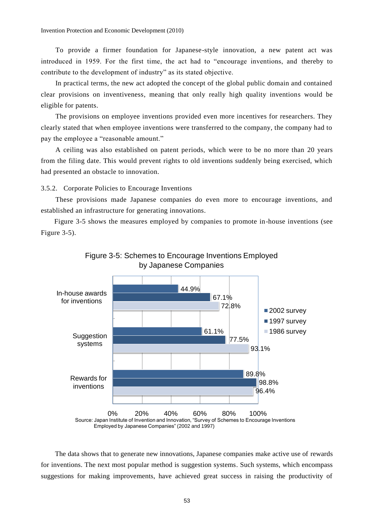To provide a firmer foundation for Japanese-style innovation, a new patent act was introduced in 1959. For the first time, the act had to "encourage inventions, and thereby to contribute to the development of industry" as its stated objective.

In practical terms, the new act adopted the concept of the global public domain and contained clear provisions on inventiveness, meaning that only really high quality inventions would be eligible for patents.

The provisions on employee inventions provided even more incentives for researchers. They clearly stated that when employee inventions were transferred to the company, the company had to pay the employee a "reasonable amount."

A ceiling was also established on patent periods, which were to be no more than 20 years from the filing date. This would prevent rights to old inventions suddenly being exercised, which had presented an obstacle to innovation.

3.5.2. Corporate Policies to Encourage Inventions

These provisions made Japanese companies do even more to encourage inventions, and established an infrastructure for generating innovations.

Figure 3-5 shows the measures employed by companies to promote in-house inventions (see Figure 3-5).





The data shows that to generate new innovations, Japanese companies make active use of rewards for inventions. The next most popular method is suggestion systems. Such systems, which encompass suggestions for making improvements, have achieved great success in raising the productivity of

Employed by Japanese Companies" (2002 and 1997)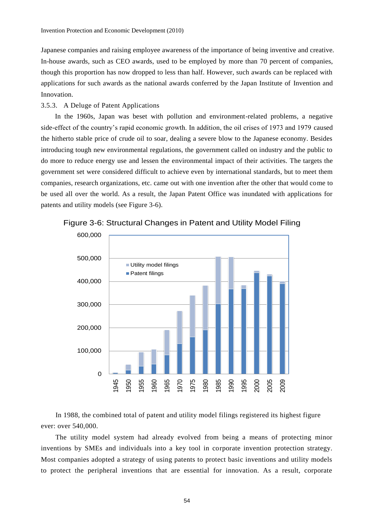Japanese companies and raising employee awareness of the importance of being inventive and creative. In-house awards, such as CEO awards, used to be employed by more than 70 percent of companies, though this proportion has now dropped to less than half. However, such awards can be replaced with applications for such awards as the national awards conferred by the Japan Institute of Invention and Innovation.

## 3.5.3. A Deluge of Patent Applications

In the 1960s, Japan was beset with pollution and environment-related problems, a negative side-effect of the country's rapid economic growth. In addition, the oil crises of 1973 and 1979 caused the hitherto stable price of crude oil to soar, dealing a severe blow to the Japanese economy. Besides introducing tough new environmental regulations, the government called on industry and the public to do more to reduce energy use and lessen the environmental impact of their activities. The targets the government set were considered difficult to achieve even by international standards, but to meet them companies, research organizations, etc. came out with one invention after the other that would come to be used all over the world. As a result, the Japan Patent Office was inundated with applications for patents and utility models (see Figure 3-6).



Figure 3-6: Structural Changes in Patent and Utility Model Filing

In 1988, the combined total of patent and utility model filings registered its highest figure ever: over 540,000.

The utility model system had already evolved from being a means of protecting minor inventions by SMEs and individuals into a key tool in corporate invention protection strategy. Most companies adopted a strategy of using patents to protect basic inventions and utility models to protect the peripheral inventions that are essential for innovation. As a result, corporate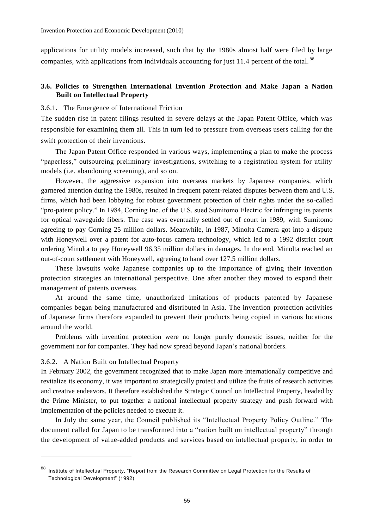applications for utility models increased, such that by the 1980s almost half were filed by large companies, with applications from individuals accounting for just 11.4 percent of the total.<sup>88</sup>

## **3.6. Policies to Strengthen International Invention Protection and Make Japan a Nation Built on Intellectual Property**

## 3.6.1. The Emergence of International Friction

The sudden rise in patent filings resulted in severe delays at the Japan Patent Office, which was responsible for examining them all. This in turn led to pressure from overseas users calling for the swift protection of their inventions.

The Japan Patent Office responded in various ways, implementing a plan to make the process "paperless," outsourcing preliminary investigations, switching to a registration system for utility models (i.e. abandoning screening), and so on.

However, the aggressive expansion into overseas markets by Japanese companies, which garnered attention during the 1980s, resulted in frequent patent-related disputes between them and U.S. firms, which had been lobbying for robust government protection of their rights under the so-called "pro-patent policy." In 1984, Corning Inc. of the U.S. sued Sumitomo Electric for infringing its patents for optical waveguide fibers. The case was eventually settled out of court in 1989, with Sumitomo agreeing to pay Corning 25 million dollars. Meanwhile, in 1987, Minolta Camera got into a dispute with Honeywell over a patent for auto-focus camera technology, which led to a 1992 district court ordering Minolta to pay Honeywell 96.35 million dollars in damages. In the end, Minolta reached an out-of-court settlement with Honeywell, agreeing to hand over 127.5 million dollars.

These lawsuits woke Japanese companies up to the importance of giving their invention protection strategies an international perspective. One after another they moved to expand their management of patents overseas.

At around the same time, unauthorized imitations of products patented by Japanese companies began being manufactured and distributed in Asia. The invention protection activities of Japanese firms therefore expanded to prevent their products being copied in various locations around the world.

Problems with invention protection were no longer purely domestic issues, neither for the government nor for companies. They had now spread beyond Japan's national borders.

## 3.6.2. A Nation Built on Intellectual Property

 $\overline{a}$ 

In February 2002, the government recognized that to make Japan more internationally competitive and revitalize its economy, it was important to strategically protect and utilize the fruits of research activities and creative endeavors. It therefore established the Strategic Council on Intellectual Property, headed by the Prime Minister, to put together a national intellectual property strategy and push forward with implementation of the policies needed to execute it.

In July the same year, the Council published its "Intellectual Property Policy Outline." The document called for Japan to be transformed into a "nation built on intellectual property" through the development of value-added products and services based on intellectual property, in order to

<sup>88</sup> Institute of Intellectual Property, "Report from the Research Committee on Legal Protection for the Results of Technological Development" (1992)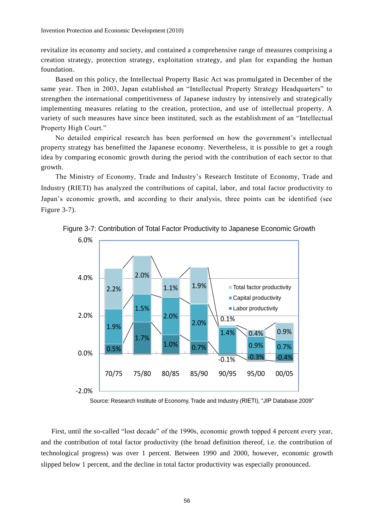revitalize its economy and society, and contained a comprehensive range of measures comprising a creation strategy, protection strategy, exploitation strategy, and plan for expanding the human foundation.

Based on this policy, the Intellectual Property Basic Act was promulgated in December of the same year. Then in 2003, Japan established an "Intellectual Property Strategy Headquarters" to strengthen the international competitiveness of Japanese industry by intensively and strategically implementing measures relating to the creation, protection, and use of intellectual property. A variety of such measures have since been instituted, such as the establishment of an "Intellectual Property High Court."

No detailed empirical research has been performed on how the government's intellectual property strategy has benefitted the Japanese economy. Nevertheless, it is possible to get a rough idea by comparing economic growth during the period with the contribution of each sector to that growth.

The Ministry of Economy, Trade and Industry's Research Institute of Economy, Trade and Industry (RIETI) has analyzed the contributions of capital, labor, and total factor productivity to Japan's economic growth, and according to their analysis, three points can be identified (see Figure 3-7).



Figure 3-7: Contribution of Total Factor Productivity to Japanese Economic Growth

Source: Research Institute of Economy, Trade and Industry (RIETI), "JIP Database 2009"

First, until the so-called "lost decade" of the 1990s, economic growth topped 4 percent every year, and the contribution of total factor productivity (the broad definition thereof, i.e. the contribution of technological progress) was over 1 percent. Between 1990 and 2000, however, economic growth slipped below 1 percent, and the decline in total factor productivity was especially pronounced.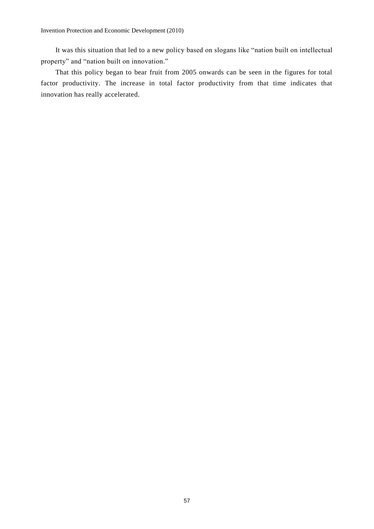It was this situation that led to a new policy based on slogans like "nation built on intellectual property" and "nation built on innovation."

That this policy began to bear fruit from 2005 onwards can be seen in the figures for total factor productivity. The increase in total factor productivity from that time indicates that innovation has really accelerated.